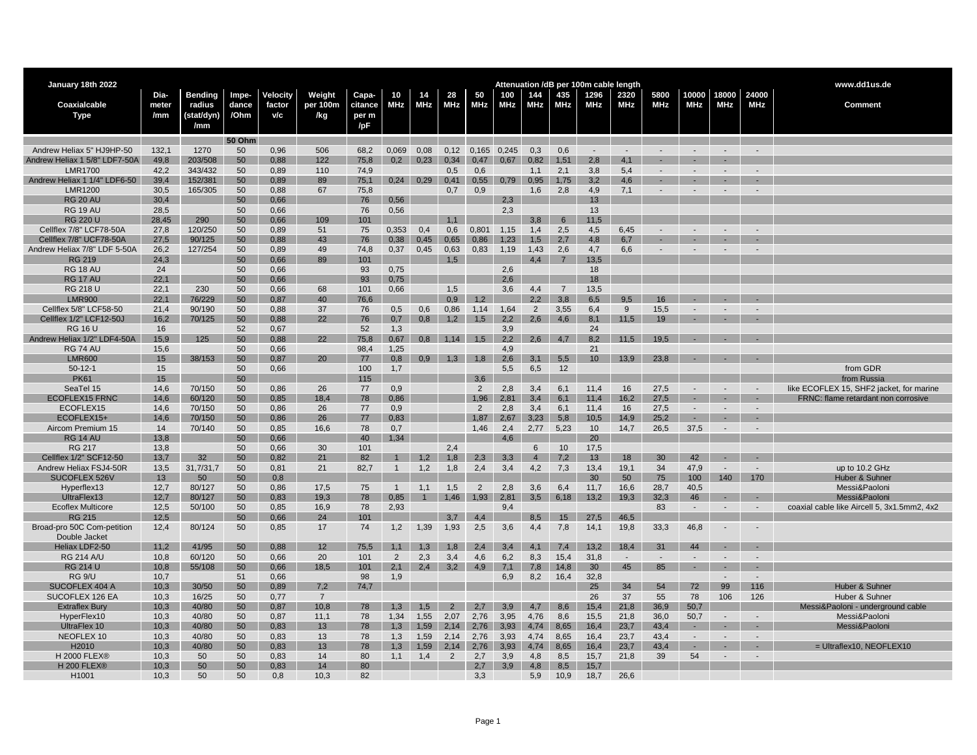| January 18th 2022                              |              |                    |               |              |                |              |                |            |                |                |            |                 |                 | Attenuation /dB per 100m cable length |                      |                          |                |                          |                          | www.dd1us.de                                |
|------------------------------------------------|--------------|--------------------|---------------|--------------|----------------|--------------|----------------|------------|----------------|----------------|------------|-----------------|-----------------|---------------------------------------|----------------------|--------------------------|----------------|--------------------------|--------------------------|---------------------------------------------|
|                                                | Dia-         | <b>Bending</b>     | Impe-         | Velocity     | Weight         | Capa-        | 10             | 14         | 28             | 50             | 100        | 144             | 435             | 1296                                  | 2320                 | 5800                     | 10000          | 18000                    | 24000                    |                                             |
| Coaxialcable                                   | meter        | radius             | dance         | factor       | per 100m       | citance      | MHz            | MHz        | <b>MHz</b>     | MHz            | <b>MHz</b> | <b>MHz</b>      | MHz             | <b>MHz</b>                            | MHz                  | <b>MHz</b>               | <b>MHz</b>     | <b>MHz</b>               | <b>MHz</b>               | <b>Comment</b>                              |
| Type                                           | /mm          | (stat/dyn)         | /Ohm          | v/c          | /kg            | per m        |                |            |                |                |            |                 |                 |                                       |                      |                          |                |                          |                          |                                             |
|                                                |              | /mm                |               |              |                | /pF          |                |            |                |                |            |                 |                 |                                       |                      |                          |                |                          |                          |                                             |
|                                                |              |                    | <b>50 Ohm</b> |              |                |              |                |            |                |                |            |                 |                 |                                       |                      |                          |                |                          |                          |                                             |
| Andrew Heliax 5" HJ9HP-50                      | 132,1        | 1270               | 50            | 0,96         | 506            | 68,2         | 0,069          | 0,08       | 0,12           | 0,165 0,245    |            | 0,3             | 0,6             | $\overline{\phantom{a}}$              | $\blacksquare$       | $\overline{\phantom{a}}$ | $\sim$         | $\sim$                   | $\sim$                   |                                             |
| Andrew Heliax 1 5/8" LDF7-50A                  | 49,8         | 203/508            | 50            | 0,88         | 122            | 75,8         | 0,2            | 0,23       | 0.34           | 0,47           | 0,67       | 0,82            | 1,51            | 2,8                                   | 4,1                  |                          |                |                          |                          |                                             |
| <b>LMR1700</b><br>Andrew Heliax 1 1/4" LDF6-50 | 42,2<br>39,4 | 343/432<br>152/381 | 50<br>50      | 0,89<br>0,89 | 110<br>89      | 74,9<br>75,1 | 0,24           | 0,29       | 0,5<br>0,41    | 0,6<br>0,55    | 0,79       | 1,1<br>0,95     | 2,1<br>1,75     | 3,8<br>3.2                            | 5,4<br>4.6           |                          |                |                          |                          |                                             |
| <b>LMR1200</b>                                 | 30,5         | 165/305            | 50            | 0,88         | 67             | 75,8         |                |            | 0,7            | 0,9            |            | 1,6             | 2,8             | 4,9                                   | 7,1                  |                          |                |                          |                          |                                             |
| <b>RG 20 AL</b>                                | 30.4         |                    | 50            | 0,66         |                | 76           | 0.56           |            |                |                | 2.3        |                 |                 | 13                                    |                      |                          |                |                          |                          |                                             |
| <b>RG 19 AU</b>                                | 28,5         |                    | 50            | 0,66         |                | 76           | 0,56           |            |                |                | 2,3        |                 |                 | 13                                    |                      |                          |                |                          |                          |                                             |
| <b>RG 220 U</b>                                | 28.45        | 290                | 50            | 0,66         | 109            | 101          |                |            | 1,1            |                |            | 3.8             | $6\overline{6}$ | 11.5                                  |                      |                          |                |                          |                          |                                             |
| Cellflex 7/8" LCF78-50A                        | 27,8         | 120/250            | 50            | 0,89         | 51             | 75           | 0,353          | 0,4        | 0,6            | 0,801          | 1,15       | 1,4             | 2,5             | 4,5                                   | 6,45                 | $\overline{\phantom{0}}$ |                |                          |                          |                                             |
| Cellflex 7/8" UCF78-50A                        | 27,5         | 90/125             | 50            | 0,88         | 43             | 76           | 0.38           | 0.45       | 0,65           | 0.86           | 1,23       | 1,5             | 2.7             | 4,8                                   | 6,7                  |                          |                |                          |                          |                                             |
| Andrew Heliax 7/8" LDF 5-50A                   | 26,2         | 127/254            | 50            | 0,89         | 49             | 74,8         | 0,37           | 0,45       | 0,63           | 0,83           | 1,19       | 1,43            | 2,6             | 4,7                                   | 6,6                  |                          |                |                          |                          |                                             |
| <b>RG 219</b>                                  | 24,3         |                    | 50            | 0,66         | 89             | 101          |                |            | 1,5            |                |            | 4,4             | $\overline{7}$  | 13.5                                  |                      |                          |                |                          |                          |                                             |
| <b>RG 18 AU</b>                                | 24           |                    | 50            | 0,66         |                | 93           | 0,75           |            |                |                | 2,6        |                 |                 | 18                                    |                      |                          |                |                          |                          |                                             |
| <b>RG 17 AU</b>                                | 22.1         |                    | 50            | 0,66         |                | 93           | 0,75           |            |                |                | 2.6        |                 |                 | 18                                    |                      |                          |                |                          |                          |                                             |
| <b>RG 218 U</b>                                | 22,1         | 230                | 50            | 0,66         | 68             | 101          | 0,66           |            | 1,5            |                | 3,6        | 4,4             | $\overline{7}$  | 13,5                                  |                      |                          |                |                          |                          |                                             |
| <b>LMR900</b>                                  | 22.1         | 76/229             | 50            | 0,87         | 40             | 76,6         |                |            | 0.9            | 1,2            |            | 2.2             | 3,8             | 6.5                                   | 9.5                  | 16                       |                |                          |                          |                                             |
| Cellflex 5/8" LCF58-50                         | 21,4         | 90/190             | 50            | 0,88         | 37             | 76           | 0,5            | 0,6        | 0,86           | 1,14           | 1,64       | 2               | 3,55            | 6,4                                   | 9                    | 15,5                     |                |                          |                          |                                             |
| Cellflex 1/2" LCF12-50J                        | 16.2         | 70/125             | 50            | 0.88         | 22             | 76           | 0.7            | 0.8        | 1.2            | 1.5            | 2.2        | 2.6             | 4.6             | 8.1                                   | 11.5                 | 19                       |                |                          |                          |                                             |
| <b>RG 16 U</b>                                 | 16           |                    | 52            | 0.67         |                | 52           | 1,3            |            |                |                | 3,9        |                 |                 | 24                                    |                      |                          |                |                          |                          |                                             |
| Andrew Heliax 1/2" LDF4-50A                    | 15.9         | 125                | 50            | 0,88         | 22             | 75.8         | 0,67           | 0.8        | 1.14           | 1.5            | 2.2        | 2.6             | 4.7             | 8.2                                   | 11.5                 | 19.5                     | $\sim$         |                          |                          |                                             |
| RG 74 AU                                       | 15,6         |                    | 50            | 0,66         |                | 98,4<br>77   | 1,25           |            |                |                | 4,9        |                 |                 | 21                                    |                      |                          | $\sim$ $-$     |                          | $\sim$                   |                                             |
| <b>LMR600</b>                                  | 15           | 38/153             | 50            | 0,87         | 20             |              | 0,8            | 0.9        | 1,3            | 1,8            | 2,6        |                 | $3,1$ $5,5$     | 10                                    | 13,9                 | 23,8                     |                |                          |                          |                                             |
| $50-12-1$<br><b>PK61</b>                       | 15<br>15     |                    | 50<br>50      | 0,66         |                | 100<br>115   | 1,7            |            |                | 3.6            | 5,5        | 6,5             | 12              |                                       |                      |                          |                |                          |                          | from GDR<br>from Russia                     |
| SeaTel 15                                      | 14,6         | 70/150             | 50            | 0,86         | 26             | 77           | 0,9            |            |                | 2              | 2,8        | 3,4             | 6,1             | 11,4                                  | 16                   | 27,5                     |                |                          |                          | like ECOFLEX 15, SHF2 jacket, for marine    |
| <b>ECOFLEX15 FRNC</b>                          | 14,6         | 60/120             | 50            | 0,85         | 18,4           | 78           | 0,86           |            |                | 1,96           | 2,81       | 3,4             | 6,1             | 11,4                                  | 16,2                 | 27,5                     | $\blacksquare$ |                          |                          | FRNC: flame retardant non corrosive         |
| ECOFLEX15                                      | 14,6         | 70/150             | 50            | 0,86         | 26             | 77           | 0,9            |            |                | 2              | 2,8        | 3,4             | 6,1             | 11,4                                  | 16                   | 27,5                     | $\blacksquare$ | $\overline{\phantom{a}}$ | $\blacksquare$           |                                             |
| ECOFLEX15+                                     | 14,6         | 70/150             | 50            | 0,86         | 26             | 77           | 0,83           |            |                | 1,87           | 2,67       | 3,23            | 5,8             | 10,5                                  | 14,9                 | 25,2                     | $\sim$         | $\sim$                   | ٠                        |                                             |
| Aircom Premium 15                              | 14           | 70/140             | 50            | 0,85         | 16,6           | 78           | 0,7            |            |                | 1,46           | 2,4        | 2,77            | 5,23            | 10                                    | 14,7                 | 26,5                     | 37,5           | $\overline{a}$           |                          |                                             |
| <b>RG 14 AU</b>                                | 13,8         |                    | 50            | 0,66         |                | 40           | 1.34           |            |                |                | 4.6        |                 |                 | 20                                    |                      |                          |                |                          |                          |                                             |
| <b>RG 217</b>                                  | 13,8         |                    | 50            | 0,66         | 30             | 101          |                |            | 2,4            |                |            | $6\overline{6}$ | 10              | 17,5                                  |                      |                          |                |                          |                          |                                             |
| Cellflex 1/2" SCF12-50                         | 13.7         | 32                 | 50            | 0.82         | 21             | 82           |                | 1.2        | 1.8            | 2,3            | 3,3        | $\overline{4}$  | 7,2             | 13                                    | 18                   | 30                       | 42             |                          |                          |                                             |
| Andrew Heliax FSJ4-50R                         | 13,5         | 31,7/31,7          | 50            | 0,81         | 21             | 82,7         | $\mathbf{1}$   | 1,2        | 1,8            | 2,4            | 3,4        | 4,2             | 7,3             | 13,4                                  | 19,1                 | 34                       | 47,9           |                          |                          | up to 10.2 GHz                              |
| SUCOFLEX 526V                                  | 13           | 50                 | 50            | 0,8          |                |              |                |            |                |                |            |                 |                 | 30                                    | 50                   | 75                       | 100            | 140                      | 170                      | Huber & Suhner                              |
| Hyperflex13                                    | 12,7         | 80/127             | 50            | 0,86         | 17,5           | 75           | $\mathbf{1}$   | 1,1        | 1,5            | $\overline{2}$ | 2,8        | 3,6             | 6,4             | 11,7                                  | 16,6                 | 28,7                     | 40,5           |                          |                          | Messi&Paoloni                               |
| UltraFlex13                                    | 12,7         | 80/127             | 50            | 0,83         | 19,3           | 78           | 0,85           | 1          |                | $1,46$ 1,93    | 2,81       | 3,5             | 6,18            | 13,2                                  | 19,3                 | 32.3                     | 46             |                          | ÷.                       | Messi&Paoloni                               |
| <b>Ecoflex Multicore</b>                       | 12,5         | 50/100             | 50            | 0,85         | 16,9           | 78           | 2,93           |            |                |                | 9,4        |                 |                 |                                       |                      | 83                       | $\sim$         | $\sim$                   | $\blacksquare$           | coaxial cable like Aircell 5, 3x1.5mm2, 4x2 |
| <b>RG 215</b>                                  | 12.5         |                    | 50            | 0,66         | 24             | 101          |                |            | 3.7            | 4,4            |            | 8,5             | 15              | 27,5                                  | 46,5                 |                          |                |                          |                          |                                             |
| Broad-pro 50C Com-petition                     | 12,4         | 80/124             | 50            | 0,85         | 17             | 74           | 1,2            | 1,39       | 1,93           | 2,5            | 3,6        | 4,4             | 7,8             | 14,1                                  | 19,8                 | 33,3                     | 46,8           |                          | $\overline{\phantom{a}}$ |                                             |
| Double Jacket                                  |              |                    |               |              |                |              |                |            |                |                |            |                 |                 |                                       |                      |                          |                |                          |                          |                                             |
| Heliax LDF2-50                                 | 11,2         | 41/95              | 50            | 0,88         | 12             | 75,5         | 1.1            | 1.3        | 1.8            | 2.4            | 3.4        | 4.1             | 7.4             | 13.2                                  | 18.4                 | 31<br>$\mathbf{r}$       | 44<br>$\sim$   |                          | $\sim$                   |                                             |
| <b>RG 214 A/U</b>                              | 10,8         | 60/120             | 50            | 0,66         | 20<br>18.5     | 101<br>101   | $\overline{2}$ | 2,3<br>2.4 | 3,4<br>3.2     | 4,6<br>4.9     | 6,2        | 8,3             | 15,4            | 31,8                                  | $\blacksquare$<br>45 | 85                       | $\sim$         | $\sim$<br>$\sim$         | $\sim$                   |                                             |
| <b>RG 214 U</b><br><b>RG 9/U</b>               | 10,8<br>10,7 | 55/108             | 50<br>51      | 0,66<br>0,66 |                | 98           | 2,1<br>1,9     |            |                |                | 7,1<br>6,9 | 7,8<br>8,2      | 14,8<br>16,4    | 30<br>32,8                            |                      |                          |                | $\sim$                   | $\sim$                   |                                             |
| SUCOFLEX 404 A                                 | 10.3         | 30/50              | 50            | 0,89         | 7,2            | 74.7         |                |            |                |                |            |                 |                 | 25                                    | 34                   | 54                       | 72             | 99                       | 116                      | Huber & Suhner                              |
| SUCOFLEX 126 EA                                | 10.3         | 16/25              | 50            | 0.77         | $\overline{7}$ |              |                |            |                |                |            |                 |                 | 26                                    | 37                   | 55                       | 78             | 106                      | 126                      | Huber & Suhner                              |
| <b>Extraflex Bury</b>                          | 10,3         | 40/80              | 50            | 0,87         | 10,8           | 78           | 1.3            | 1.5        | $\overline{2}$ | 2.7            | 3.9        | 4.7             | 8,6             | 15,4                                  | 21,8                 | 36,9                     | 50,7           |                          |                          | Messi&Paoloni - underground cable           |
| HyperFlex10                                    | 10,3         | 40/80              | 50            | 0,87         | 11,1           | 78           | 1,34           | 1,55       | 2,07           | 2,76           | 3,95       | 4,76            | 8,6             | 15,5                                  | 21,8                 | 36,0                     | 50,7           | $\sim$                   | $\blacksquare$           | Messi&Paoloni                               |
| UltraFlex 10                                   | 10,3         | 40/80              | 50            | 0,83         | 13             | 78           | 1,3            | 1,59       | 2,14           | 2,76           | 3,93       | 4,74            | 8,65            | 16,4                                  | 23,7                 | 43,4                     | $\sim$         |                          | ×.                       | Messi&Paoloni                               |
| NEOFLEX 10                                     | 10,3         | 40/80              | 50            | 0,83         | 13             | 78           | 1,3            | 1,59       | 2,14           | 2,76           | 3,93       | 4,74            | 8,65            | 16,4                                  | 23,7                 | 43,4                     | $\sim$         |                          |                          |                                             |
| H2010                                          | 10,3         | 40/80              | 50            | 0,83         | 13             | 78           | 1,3            | 1,59       | 2,14           | 2,76           | 3,93       | 4,74            | 8,65            | 16,4                                  | 23,7                 | 43,4                     | $\sim$         |                          |                          | $=$ Ultraflex10, NEOFLEX10                  |
| <b>H 2000 FLEX®</b>                            | 10,3         | 50                 | 50            | 0,83         | 14             | 80           | 1,1            | 1,4        | $\overline{2}$ | 2,7            | 3,9        | 4,8             | 8,5             | 15,7                                  | 21,8                 | 39                       | 54             |                          |                          |                                             |
| H 200 FLEX®                                    | 10,3         | 50                 | 50            | 0.83         | 14             | 80           |                |            |                | 2.7            | 3.9        | 4.8             | 8.5             | 15.7                                  |                      |                          |                |                          |                          |                                             |
| H1001                                          | 10,3         | 50                 | 50            | 0,8          | 10,3           | 82           |                |            |                | 3,3            |            | 5,9             | 10,9            | 18,7                                  | 26,6                 |                          |                |                          |                          |                                             |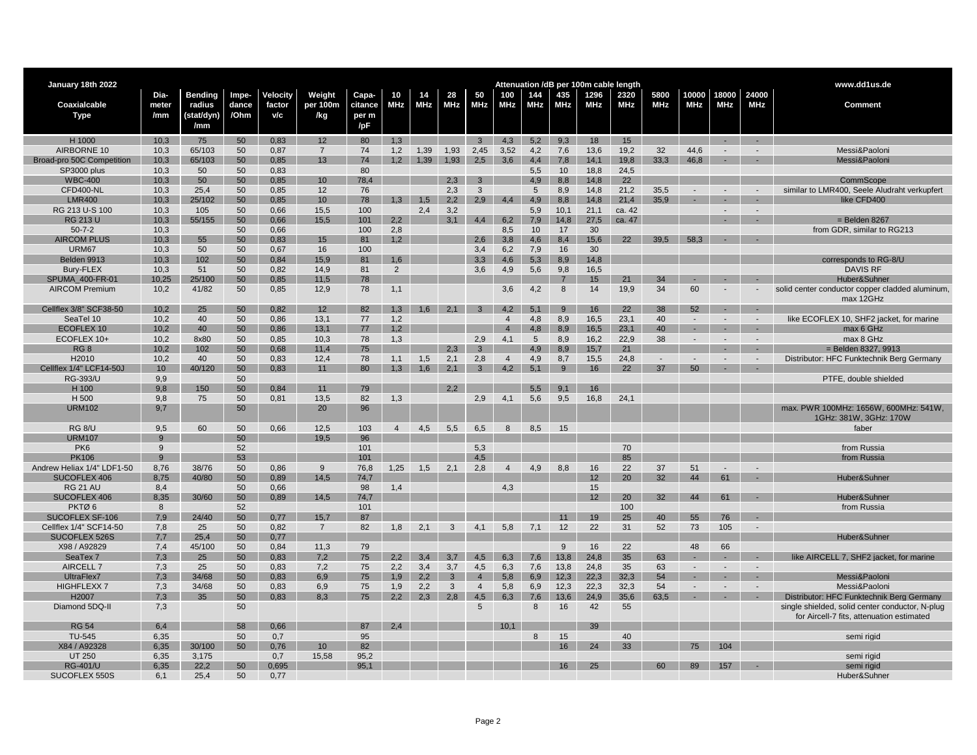| January 18th 2022                 |                 |                   |          |              |                 |              |            |            |              |                |                |            |                |                       | Attenuation /dB per 100m cable length |            |            |              |            | www.dd1us.de                                    |
|-----------------------------------|-----------------|-------------------|----------|--------------|-----------------|--------------|------------|------------|--------------|----------------|----------------|------------|----------------|-----------------------|---------------------------------------|------------|------------|--------------|------------|-------------------------------------------------|
|                                   | Dia-            | <b>Bending</b>    | Impe-    | Velocity     | Weight          | Capa-        | 10         | 14         | 28           | 50             | 100            | 144        | 435            | 1296                  | 2320                                  | 5800       | 10000      | 18000        | 24000      |                                                 |
| Coaxialcable                      | meter           | radius            | dance    | factor       | per 100m        | citance      | <b>MHz</b> | <b>MHz</b> | MHz          | MHz            | <b>MHz</b>     | <b>MHz</b> | <b>MHz</b>     | <b>MHz</b>            | <b>MHz</b>                            | <b>MHz</b> | <b>MHz</b> | <b>MHz</b>   | <b>MHz</b> | Comment                                         |
| Type                              | /mm             | (stat/dyn)<br>/mm | /Ohm     | v/c          | /kg             | per m<br>/pF |            |            |              |                |                |            |                |                       |                                       |            |            |              |            |                                                 |
|                                   |                 |                   |          |              |                 |              |            |            |              |                |                |            |                |                       |                                       |            |            |              |            |                                                 |
| H 1000                            | 10,3            | 75                | 50       | 0,83         | 12 <sup>°</sup> | 80           | 1.3        |            |              |                | $3 \t 4.3$     | 5,2        | 9,3            | 18                    | 15                                    |            |            | $\sim$       | $\sim$     |                                                 |
| AIRBORNE 10                       | 10,3            | 65/103            | 50       | 0,87         | $\overline{7}$  | 74           | 1,2        | 1,39       | 1,93         | 2,45           | 3,52           | 4,2        | 7,6            | 13,6                  | 19,2                                  | 32         | 44,6       | $\sim$       |            | Messi&Paoloni                                   |
| Broad-pro 50C Competition         | 10,3            | 65/103            | 50       | 0,85         | 13              | 74           | 1,2        | 1,39       | 1,93         | 2,5            | 3,6            | 4,4        | 7,8            | 14,1                  | 19,8                                  | 33,3       | 46,8       | ÷.           |            | Messi&Paolon                                    |
| SP3000 plus                       | 10,3            | 50                | 50       | 0,83         |                 | 80           |            |            |              |                |                | 5,5        | 10             | 18,8                  | 24,5                                  |            |            |              |            |                                                 |
| <b>WBC-400</b>                    | 10,3            | 50                | 50       | 0.85         | 10 <sup>1</sup> | 78.4         |            |            | 2,3          | 3              |                | 4.9        | 8,8            | 14.8                  | 22                                    |            |            |              |            | CommScope                                       |
| CFD400-NL                         | 10,3            | 25,4              | 50       | 0,85         | 12              | 76           |            |            | 2,3          | 3              |                | 5          | 8,9            | 14.8                  | 21,2                                  | 35,5       |            |              |            | similar to LMR400, Seele Aludraht verkupfert    |
| <b>LMR400</b>                     | 10,3            | 25/102            | 50       | 0,85         | 10              | 78           | 1.3        | 1.5        | 2.2          | 2.9            | 4.4            | 4.9        | 8.8            | 14.8                  | 21.4                                  | 35.9       |            |              |            | like CFD400                                     |
| RG 213 U-S 100                    | 10,3            | 105               | 50       | 0,66         | 15,5            | 100<br>101   |            | 2,4        | 3,2          |                |                | 5,9        | 10.1           | 21,1                  | ca. 42                                |            |            | $\sim$       | $\sim$     |                                                 |
| <b>RG 213 U</b><br>$50 - 7 - 2$   | 10,3<br>10,3    | 55/155            | 50<br>50 | 0,66<br>0,66 | 15,5            | 100          | 2,2<br>2,8 |            | 3.1          | 4.4            | 6,2<br>8,5     | 7.9<br>10  | 14,8<br>17     | 27,5<br>30            | ca. 47                                |            |            |              |            | $=$ Belden 8267<br>from GDR. similar to RG213   |
|                                   |                 |                   |          |              |                 |              |            |            |              |                |                |            |                |                       | 22                                    |            | 58.3       |              |            |                                                 |
| <b>AIRCOM PLUS</b><br>URM67       | 10,3<br>10,3    | 55<br>50          | 50<br>50 | 0,83<br>0,67 | 15<br>16        | 81<br>100    | 1,2        |            |              | 2,6<br>3,4     | 3,8<br>6,2     | 4,6<br>7,9 | 8,4<br>16      | 15,6<br>30            |                                       | 39,5       |            |              |            |                                                 |
| Belden 9913                       | 10,3            | 102               | 50       | 0,84         | 15,9            | 81           | 1,6        |            |              | 3,3            | 4,6            | 5,3        | 8,9            | 14,8                  |                                       |            |            |              |            | corresponds to RG-8/U                           |
| Bury-FLEX                         | 10,3            | 51                | 50       | 0,82         | 14,9            | 81           | 2          |            |              | 3,6            | 4,9            | 5,6        | 9,8            | 16,5                  |                                       |            |            |              |            | <b>DAVIS RF</b>                                 |
| SPUMA 400-FR-01                   | 10,25           | 25/100            | 50       | 0,85         | 11,5            | 78           |            |            |              |                |                |            | $\overline{7}$ | 15                    | 21                                    | 34         |            |              |            | Huber&Suhner                                    |
| <b>AIRCOM Premium</b>             | 10,2            | 41/82             | 50       | 0,85         | 12,9            | 78           | 1,1        |            |              |                | 3,6            | 4,2        | 8              | 14                    | 19,9                                  | 34         | 60         |              |            | solid center conductor copper cladded aluminum, |
|                                   |                 |                   |          |              |                 |              |            |            |              |                |                |            |                |                       |                                       |            |            |              |            | max 12GHz                                       |
| Cellflex 3/8" SCF38-50            | 10.2            | 25                | 50       | 0.82         | 12              | 82           | 1,3        | 1.6        | 2.1          | $\mathbf{3}$   | 4.2            | 5.1        | 9              | 16                    | 22                                    | 38         | 52         |              |            |                                                 |
| SeaTel 10                         | 10.2            | 40                | 50       | 0,86         | 13.1            | 77           | 1,2        |            |              |                | $\overline{4}$ | 4.8        | 8,9            | 16,5                  | 23,1                                  | 40         |            | $\sim$       |            | like ECOFLEX 10, SHF2 jacket, for marine        |
| ECOFLEX 10                        | 10,2            | 40                | 50       | 0,86         | 13,1            | 77           | 1,2        |            |              |                | $\overline{4}$ | 4,8        | 8,9            | 16,5                  | 23,1                                  | 40         |            | $\sim$       | $\sim$     | max 6 GHz                                       |
| ECOFLEX 10+                       | 10,2            | 8x80              | 50       | 0,85         | 10,3            | 78           | 1,3        |            |              | 2,9            | 4,1            | 5          | 8,9            | 16,2                  | 22,9                                  | 38         |            | $\sim$       | $\sim$     | max 8 GHz                                       |
| RG <sub>8</sub>                   | 10,2            | 102               | 50       | 0,68         | 11,4            | 75           |            |            | 2,3          | $\overline{3}$ |                | 4,9        | 8,9            | 15,7                  | 21                                    |            |            |              | п.         | $=$ Belden 8327, 9913                           |
| H2010                             | 10,2            | 40                | 50       | 0,83         | 12,4            | 78           | 1,1        | 1,5        | 2,1          | 2,8            | $\overline{4}$ | 4,9        | 8,7            | 15,5                  | 24,8                                  |            |            |              |            | Distributor: HFC Funktechnik Berg Germany       |
| Cellflex 1/4" LCF14-50J           | 10 <sup>1</sup> | 40/120            | 50       | 0.83         | 11              | 80           | 1,3        | 1.6        | 2,1          | $\mathbf{3}$   | 4,2            | 5.1        | 9              | 16                    | 22                                    | 37         | 50         |              |            |                                                 |
| RG-393/U                          | 9,9             |                   | 50       |              |                 |              |            |            |              |                |                |            |                |                       |                                       |            |            |              |            | PTFE, double shielded                           |
| H 100                             | 9.8             | 150               | 50       | 0.84         | 11              | 79           |            |            | 2.2          |                |                | 5.5        | 9.1            | 16                    |                                       |            |            |              |            |                                                 |
| H 500                             | 9,8             | 75                | 50       | 0,81         | 13,5            | 82           | 1,3        |            |              | 2,9            | 4,1            | 5,6        | 9,5            | 16,8                  | 24,1                                  |            |            |              |            |                                                 |
| <b>URM102</b>                     | 9,7             |                   | 50       |              | 20              | 96           |            |            |              |                |                |            |                |                       |                                       |            |            |              |            | max. PWR 100MHz: 1656W, 600MHz: 541W.           |
|                                   |                 |                   |          |              |                 |              |            |            |              |                |                |            |                |                       |                                       |            |            |              |            | 1GHz: 381W, 3GHz: 170W                          |
| <b>RG 8/U</b>                     | 9,5             | 60                | 50       | 0,66         | 12,5            | 103          | 4          | 4,5        | 5,5          | 6,5            | 8              | 8,5        | 15             |                       |                                       |            |            |              |            | faber                                           |
| <b>URM107</b>                     | $\alpha$        |                   | 50       |              | 19.5            | 96           |            |            |              |                |                |            |                |                       |                                       |            |            |              |            |                                                 |
| PK <sub>6</sub>                   | 9               |                   | 52       |              |                 | 101          |            |            |              | 5,3            |                |            |                |                       | 70                                    |            |            |              |            | from Russia                                     |
| <b>PK106</b>                      | 9               |                   | 53       |              |                 | 101          |            |            |              | 4.5            |                |            |                |                       | 85                                    |            |            |              |            | from Russia                                     |
| Andrew Heliax 1/4" LDF1-50        | 8,76            | 38/76             | 50       | 0,86         | 9               | 76,8         | 1,25       | 1,5        | 2,1          | 2,8            | $\overline{4}$ | 4,9        | 8,8            | 16                    | 22                                    | 37         | 51         | $\mathbf{r}$ |            |                                                 |
| SUCOFLEX 406                      | 8.75            | 40/80             | 50       | 0,89         | 14.5            | 74.7         |            |            |              |                |                |            |                | 12                    | 20                                    | 32         | 44         | 61           |            | Huber&Suhner                                    |
| <b>RG 21 AU</b>                   | 8.4<br>8,35     |                   | 50<br>50 | 0.66<br>0,89 |                 | 98<br>74,7   | 1,4        |            |              |                | 4,3            |            |                | 15<br>12 <sup>2</sup> | 20                                    | 32         | 44         | 61           |            |                                                 |
| SUCOFLEX 406<br>PKTØ <sub>6</sub> | 8               | 30/60             | 52       |              | 14,5            | 101          |            |            |              |                |                |            |                |                       |                                       |            |            |              |            | Huber&Suhner<br>from Russia                     |
| SUCOFLEX SF-106                   | 7,9             | 24/40             | 50       | 0,77         | 15,7            | 87           |            |            |              |                |                |            |                | 19                    | 100<br>25                             | 40         | 55         | 76           |            |                                                 |
| Cellflex 1/4" SCF14-50            | 7,8             | 25                | 50       | 0,82         | $\overline{7}$  | 82           | 1,8        | 2,1        | 3            | 4,1            | 5,8            | 7,1        | 12             | 22                    | 31                                    | 52         | 73         | 105          |            |                                                 |
| SUCOFLEX 526S                     | 7,7             | 25,4              | 50       | 0,77         |                 |              |            |            |              |                |                |            |                |                       |                                       |            |            |              |            | Huber&Suhner                                    |
| X98 / A92829                      | 7.4             | 45/100            | 50       | 0,84         | 11,3            | 79           |            |            |              |                |                |            | 9              | 16                    | 22                                    |            | 48         | 66           |            |                                                 |
| SeaTex 7                          | 7.3             | 25                | 50       | 0,83         | 7.2             | 75           | 2.2        | 3.4        | 3.7          | 4.5            | 6,3            | 7,6        | 13.8           | 24.8                  | 35                                    | 63         |            | $\sim$       |            | like AIRCELL 7, SHF2 jacket, for marine         |
| AIRCELL 7                         | 7,3             | 25                | 50       | 0,83         | 7,2             | 75           | 2,2        | 3,4        | 3,7          | 4,5            | 6,3            | 7,6        | 13.8           | 24.8                  | 35                                    | 63         |            | $\sim$       |            |                                                 |
| UltraFlex7                        | 7,3             | 34/68             | 50       | 0,83         | 6,9             | 75           | 1,9        | 2.2        | $\mathbf{3}$ | $\overline{4}$ | 5,8            | 6,9        | 12.3           | 22,3                  | 32.3                                  | 54         | $\sim$     | $\sim$       | $\sim$     | Messi&Paoloni                                   |
| <b>HIGHFLEXX7</b>                 | 7,3             | 34/68             | 50       | 0,83         | 6,9             | 75           | 1,9        | 2,2        | 3            | $\overline{4}$ | 5,8            | 6,9        | 12.3           | 22.3                  | 32,3                                  | 54         |            |              |            | Messi&Paoloni                                   |
| H <sub>2007</sub>                 | 7.3             | 35                | 50       | 0.83         | 8.3             | 75           | 2.2        | 2.3        | 2.8          | 4.5            | 6,3            | 7.6        | 13.6           | 24.9                  | 35.6                                  | 63.5       |            | ÷.           |            | Distributor: HFC Funktechnik Berg Germany       |
| Diamond 5DQ-II                    | 7,3             |                   | 50       |              |                 |              |            |            |              | 5              |                | 8          | 16             | 42                    | 55                                    |            |            |              |            | single shielded, solid center conductor, N-plug |
| <b>RG 54</b>                      | 6,4             |                   | 58       | 0,66         |                 | 87           | 2.4        |            |              |                | 10.1           |            |                | 39                    |                                       |            |            |              |            | for Aircell-7 fits, attenuation estimated       |
| TU-545                            | 6,35            |                   | 50       | 0,7          |                 | 95           |            |            |              |                |                | 8          | 15             |                       | 40                                    |            |            |              |            |                                                 |
| X84 / A92328                      | 6.35            | 30/100            | 50       | 0,76         | 10              | 82           |            |            |              |                |                |            | 16             | 24                    | 33                                    |            | 75         | 104          |            | semi rigid                                      |
| <b>UT 250</b>                     | 6,35            | 3,175             |          | 0,7          | 15,58           | 95,2         |            |            |              |                |                |            |                |                       |                                       |            |            |              |            | semi rigid                                      |
| <b>RG-401/U</b>                   | 6.35            | 22.2              | 50       | 0.695        |                 | 95.1         |            |            |              |                |                |            | 16             | 25                    |                                       | 60         | 89         | 157          | $\sim$     | semi rigid                                      |
| SUCOFLEX 550S                     | 6,1             | 25,4              | 50       | 0,77         |                 |              |            |            |              |                |                |            |                |                       |                                       |            |            |              |            | Huber&Suhner                                    |
|                                   |                 |                   |          |              |                 |              |            |            |              |                |                |            |                |                       |                                       |            |            |              |            |                                                 |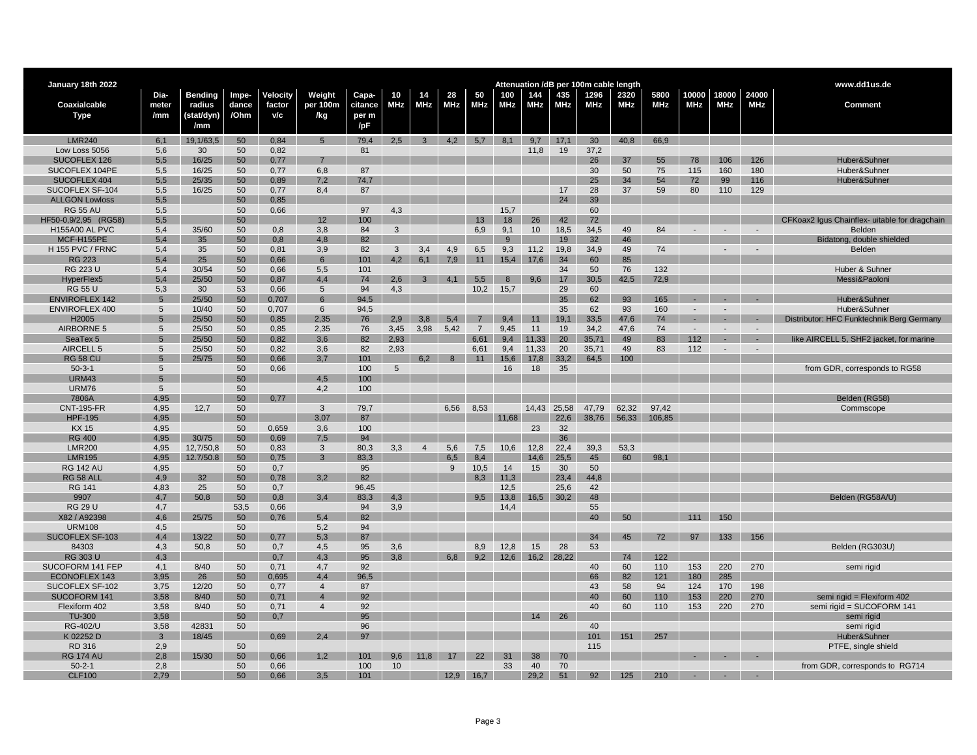| January 18th 2022       |                 |                |       |          |                  |         |            |                |                                |                |       |       |             | Attenuation /dB per 100m cable length |            |            |            |                          |        | www.dd1us.de                                  |
|-------------------------|-----------------|----------------|-------|----------|------------------|---------|------------|----------------|--------------------------------|----------------|-------|-------|-------------|---------------------------------------|------------|------------|------------|--------------------------|--------|-----------------------------------------------|
|                         | Dia-            | <b>Bending</b> | Impe- | Velocity | Weight           | Capa-   | 10         | 14             | 28                             | 50             | 100   | 144   | 435         | 1296                                  | 2320       | 5800       | 10000      | 18000                    | 24000  |                                               |
| Coaxialcable            | meter           | radius         | dance | factor   | per 100m         | citance | <b>MHz</b> | <b>MHz</b>     | <b>MHz</b>                     | <b>MHz</b>     | MHz   | MHz   | <b>MHz</b>  | <b>MHz</b>                            | <b>MHz</b> | <b>MHz</b> | <b>MHz</b> | <b>MHz</b>               | MHz    | <b>Comment</b>                                |
| <b>Type</b>             | /mm             | (stat/dyn)     | /Ohm  | v/c      | /kg              | per m   |            |                |                                |                |       |       |             |                                       |            |            |            |                          |        |                                               |
|                         |                 | /mm            |       |          |                  | /pF     |            |                |                                |                |       |       |             |                                       |            |            |            |                          |        |                                               |
| <b>LMR240</b>           | 6,1             | 19,1/63,5      | 50    | 0,84     | $5\phantom{.0}$  | 79,4    | 2,5        |                | $3\quad 4,2\quad 5,7\quad 8,1$ |                |       |       | $9,7$ 17,1  | 30                                    | 40,8       | 66,9       |            |                          |        |                                               |
| Low Loss 5056           | 5,6             | 30             | 50    | 0,82     |                  | 81      |            |                |                                |                |       | 11,8  | 19          | 37,2                                  |            |            |            |                          |        |                                               |
| SUCOFLEX 126            | 5,5             | 16/25          | 50    | 0,77     |                  |         |            |                |                                |                |       |       |             | 26                                    | 37         | 55         | 78         | 106                      | 126    | Huber&Suhner                                  |
| SUCOFLEX 104PE          | 5,5             | 16/25          | 50    | 0,77     | 6,8              | 87      |            |                |                                |                |       |       |             | 30                                    | 50         | 75         | 115        | 160                      | 180    | Huber&Suhner                                  |
| SUCOFLEX 404            | 5,5             | 25/35          | 50    | 0,89     | 7,2              | 74,7    |            |                |                                |                |       |       |             | 25                                    | 34         | 54         | 72         | 99                       | 116    | Huber&Suhner                                  |
| SUCOFLEX SF-104         | 5,5             | 16/25          | 50    | 0,77     | 8,4              | 87      |            |                |                                |                |       |       | 17          | 28                                    | 37         | 59         | 80         | 110                      | 129    |                                               |
| <b>ALLGON Lowloss</b>   | 5.5             |                | 50    | 0,85     |                  |         |            |                |                                |                |       |       | 24          | 39                                    |            |            |            |                          |        |                                               |
| <b>RG 55 AU</b>         | 5,5             |                | 50    | 0,66     |                  | 97      | 4,3        |                |                                |                | 15,7  |       |             | 60                                    |            |            |            |                          |        |                                               |
| HF50-0,9/2,95 (RG58)    | 5,5             |                | 50    |          | 12               | 100     |            |                |                                | 13             | 18    | 26    | 42          | 72                                    |            |            |            |                          |        | CFKoax2 Igus Chainflex- uitable for dragchain |
| <b>H155A00 AL PVC</b>   | 5,4             | 35/60          | 50    | 0,8      | 3,8              | 84      | 3          |                |                                | 6,9            | 9,1   | 10    | 18,5        | 34,5                                  | 49         | 84         |            | $\overline{\phantom{a}}$ | $\sim$ | Belden                                        |
| MCF-H155PE              | 5,4             | 35             | 50    | 0,8      | 4,8              | 82      |            |                |                                |                | 9     |       | 19          | 32                                    | 46         |            |            |                          |        | Bidatong, double shielded                     |
| <b>H 155 PVC / FRNC</b> | 5,4             | 35             | 50    | 0,81     | 3,9              | 82      | 3          | 3,4            | 4,9                            | 6,5            | 9,3   | 11,2  | 19,8        | 34,9                                  | 49         | 74         |            | $\overline{\phantom{a}}$ |        | Belden                                        |
| <b>RG 223</b>           | 5,4             | 25             | 50    | 0,66     | $6\phantom{1}$   | 101     | 4,2        | 6,1            | 7,9                            | 11             | 15,4  | 17.6  | 34          | 60                                    | 85         |            |            |                          |        |                                               |
| <b>RG 223 U</b>         | 5,4             | 30/54          | 50    | 0,66     | 5,5              | 101     |            |                |                                |                |       |       | 34          | 50                                    | 76         | 132        |            |                          |        | Huber & Suhner                                |
| HyperFlex5              | 5,4             | 25/50          | 50    | 0,87     | 4,4              | 74      | 2,6        | $\mathbf{3}$   | 4.1                            | 5,5            | 8     | 9.6   | 17          | 30,5                                  | 42,5       | 72,9       |            |                          |        | Messi&Paoloni                                 |
| <b>RG 55 U</b>          | 5,3             | 30             | 53    | 0,66     | 5                | 94      | 4,3        |                |                                | 10,2           | 15,7  |       | 29          | 60                                    |            |            |            |                          |        |                                               |
| <b>ENVIROFLEX 142</b>   | $5\overline{5}$ | 25/50          | 50    | 0,707    | $6 \overline{6}$ | 94,5    |            |                |                                |                |       |       | 35          | 62                                    | 93         | 165        |            |                          |        | Huber&Suhner                                  |
| <b>ENVIROFLEX 400</b>   | 5               | 10/40          | 50    | 0,707    | 6                | 94,5    |            |                |                                |                |       |       | 35          | 62                                    | 93         | 160        |            |                          |        | Huber&Suhner                                  |
| H2005                   | 5               | 25/50          | 50    | 0,85     | 2,35             | 76      | 2,9        | 3,8            | 5,4                            |                | 9.4   |       | 19.1        | 33,5                                  | 47,6       | 74         |            |                          |        | Distributor: HFC Funktechnik Berg Germany     |
| AIRBORNE 5              | 5               | 25/50          | 50    | 0,85     | 2,35             | 76      | 3,45       | 3,98           | 5,42                           | $\overline{7}$ | 9,45  | 11    | 19          | 34,2                                  | 47,6       | 74         |            |                          |        |                                               |
| SeaTex 5                | 5               | 25/50          | 50    | 0,82     | 3.6              | 82      | 2.93       |                |                                | 6.61           | 9.4   | 11.33 | 20          | 35,71                                 | 49         | 83         | 112        |                          |        | like AIRCELL 5, SHF2 jacket, for marine       |
| AIRCELL 5               | 5               | 25/50          | 50    | 0,82     | 3,6              | 82      | 2,93       |                |                                | 6,61           | 9,4   | 11.33 | 20          | 35,71                                 | 49         | 83         | 112        |                          |        |                                               |
| <b>RG 58 CU</b>         | 5               | 25/75          | 50    | 0,66     | 3,7              | 101     |            | 6.2            | 8                              | 11             | 15,6  | 17,8  | 33,2        | 64,5                                  | 100        |            |            |                          |        |                                               |
| $50-3-1$                | 5               |                | 50    | 0,66     |                  | 100     | 5          |                |                                |                | 16    | 18    | 35          |                                       |            |            |            |                          |        | from GDR, corresponds to RG58                 |
| <b>URM43</b>            | 5               |                | 50    |          | 4.5              | 100     |            |                |                                |                |       |       |             |                                       |            |            |            |                          |        |                                               |
| <b>URM76</b>            | 5               |                | 50    |          | 4,2              | 100     |            |                |                                |                |       |       |             |                                       |            |            |            |                          |        |                                               |
| 7806A                   | 4.95            |                | 50    | 0.77     |                  |         |            |                |                                |                |       |       |             |                                       |            |            |            |                          |        | Belden (RG58)                                 |
| <b>CNT-195-FR</b>       | 4,95            | 12,7           | 50    |          | 3                | 79,7    |            |                | 6,56                           | 8,53           |       | 14,43 | 25,58       | 47,79                                 | 62,32      | 97,42      |            |                          |        | Commscope                                     |
| <b>HPF-195</b>          | 4,95            |                | 50    |          | 3,07             | 87      |            |                |                                |                | 11,68 |       | 22.6        | 38.76                                 | 56,33      | 106,85     |            |                          |        |                                               |
| <b>KX15</b>             | 4,95            |                | 50    | 0,659    | 3,6              | 100     |            |                |                                |                |       | 23    | 32          |                                       |            |            |            |                          |        |                                               |
| <b>RG 400</b>           | 4,95            | 30/75          | 50    | 0,69     | 7,5              | 94      |            |                |                                |                |       |       | 36          |                                       |            |            |            |                          |        |                                               |
| <b>LMR200</b>           | 4,95            | 12,7/50,8      | 50    | 0,83     | 3                | 80,3    | 3,3        | $\overline{4}$ | 5,6                            | 7,5            | 10,6  | 12,8  | 22.4        | 39,3                                  | 53,3       |            |            |                          |        |                                               |
| <b>LMR195</b>           | 4.95            | 12.7/50.8      | 50    | 0,75     | $\mathbf{R}$     | 83.3    |            |                | 6.5                            | 8.4            |       | 14.6  | 25.5        | 45                                    | 60         | 98.1       |            |                          |        |                                               |
| <b>RG 142 AU</b>        | 4,95            |                | 50    | 0,7      |                  | 95      |            |                | 9                              | 10,5           | 14    | 15    | 30          | 50                                    |            |            |            |                          |        |                                               |
| <b>RG 58 ALI</b>        | 4.9             | 32             | 50    | 0.78     | 3.2              | 82      |            |                |                                |                | 11.3  |       | 23.4        | 44.8                                  |            |            |            |                          |        |                                               |
| <b>RG 141</b>           | 4,83            | 25             | 50    | 0,7      |                  | 96,45   |            |                |                                |                | 12,5  |       | 25,6        | 42                                    |            |            |            |                          |        |                                               |
| 9907                    | 4,7             | 50.8           | 50    | 0,8      | 3.4              | 83.3    | 4.3        |                |                                | 9.5            | 13,8  |       | $16,5$ 30,2 | 48                                    |            |            |            |                          |        | Belden (RG58A/U)                              |
| <b>RG 29 U</b>          | 4,7             |                | 53,5  | 0,66     |                  | 94      | 3,9        |                |                                |                | 14,4  |       |             | 55                                    |            |            |            |                          |        |                                               |
| X82 / A92398            | 4,6             | 25/75          | 50    | 0.76     | 5.4              | 82      |            |                |                                |                |       |       |             | 40                                    | 50         |            | 111        | 150                      |        |                                               |
| <b>URM108</b>           | 4,5             |                | 50    |          | 5,2              | 94      |            |                |                                |                |       |       |             |                                       |            |            |            |                          |        |                                               |
| SUCOFLEX SF-103         | 4,4             | 13/22          | 50    | 0,77     | 5,3              | 87      |            |                |                                |                |       |       |             | 34                                    | 45         | 72         | 97         | 133                      | 156    |                                               |
| 84303                   | 4,3             | 50,8           | 50    | 0,7      | 4,5              | 95      | 3,6        |                |                                | 8,9            | 12,8  | 15    | 28          | 53                                    |            |            |            |                          |        | Belden (RG303U)                               |
| <b>RG 303 U</b>         | 4,3             |                |       | 0,7      | 4,3              | 95      | 3,8        |                | 6,8                            | 9,2            | 12,6  |       | 16,2 28,22  |                                       | 74         | 122        |            |                          |        |                                               |
| SUCOFORM 141 FEP        | 4,1             | 8/40           | 50    | 0,71     | 4,7              | 92      |            |                |                                |                |       |       |             | 40                                    | 60         | 110        | 153        | 220                      | 270    | semi rigid                                    |
| <b>ECONOFLEX 143</b>    | 3,95            | 26             | 50    | 0,695    | 4,4              | 96,5    |            |                |                                |                |       |       |             | 66                                    | 82         | 121        | 180        | 285                      |        |                                               |
| SUCOFLEX SF-102         | 3,75            | 12/20          | 50    | 0,77     | $\overline{4}$   | 87      |            |                |                                |                |       |       |             | 43                                    | 58         | 94         | 124        | 170                      | 198    |                                               |
| SUCOFORM 141            | 3,58            | 8/40           | 50    | 0,71     |                  | 92      |            |                |                                |                |       |       |             | 40                                    | 60         | 110        | 153        | 220                      | 270    | semi rigid = Flexiform 402                    |
| Flexiform 402           | 3,58            | 8/40           | 50    | 0,71     | $\overline{4}$   | 92      |            |                |                                |                |       |       |             | 40                                    | 60         | 110        | 153        | 220                      | 270    | semi rigid = SUCOFORM 141                     |
| <b>TU-300</b>           | 3,58            |                | 50    | 0.7      |                  | 95      |            |                |                                |                |       | 14    | 26          |                                       |            |            |            |                          |        | semi rigid                                    |
| <b>RG-402/U</b>         | 3,58            | 42831          | 50    |          |                  | 96      |            |                |                                |                |       |       |             | 40                                    |            |            |            |                          |        | semi rigid                                    |
| K 02252 D               | $\mathbf{3}$    | 18/45          |       | 0,69     | 2,4              | 97      |            |                |                                |                |       |       |             | 101                                   | 151        | 257        |            |                          |        | Huber&Suhner                                  |
| RD 316                  | 2,9             |                | 50    |          |                  |         |            |                |                                |                |       |       |             | 115                                   |            |            |            |                          |        | PTFE, single shield                           |
| <b>RG 174 AU</b>        | 2,8             | 15/30          | 50    | 0,66     | 1.2              | 101     | 9,6        | 11.8           | 17                             | 22             | 31    | 38    | 70          |                                       |            |            |            |                          |        |                                               |
| $50 - 2 - 1$            | 2,8             |                | 50    | 0,66     |                  | 100     | 10         |                |                                |                | 33    | 40    | 70          |                                       |            |            |            |                          |        | from GDR, corresponds to RG714                |
| <b>CLF100</b>           | 2,79            |                | 50    | 0,66     | 3,5              | 101     |            |                |                                | $12,9$ 16,7    |       | 29,2  | 51          | 92                                    | 125        | 210        |            |                          |        |                                               |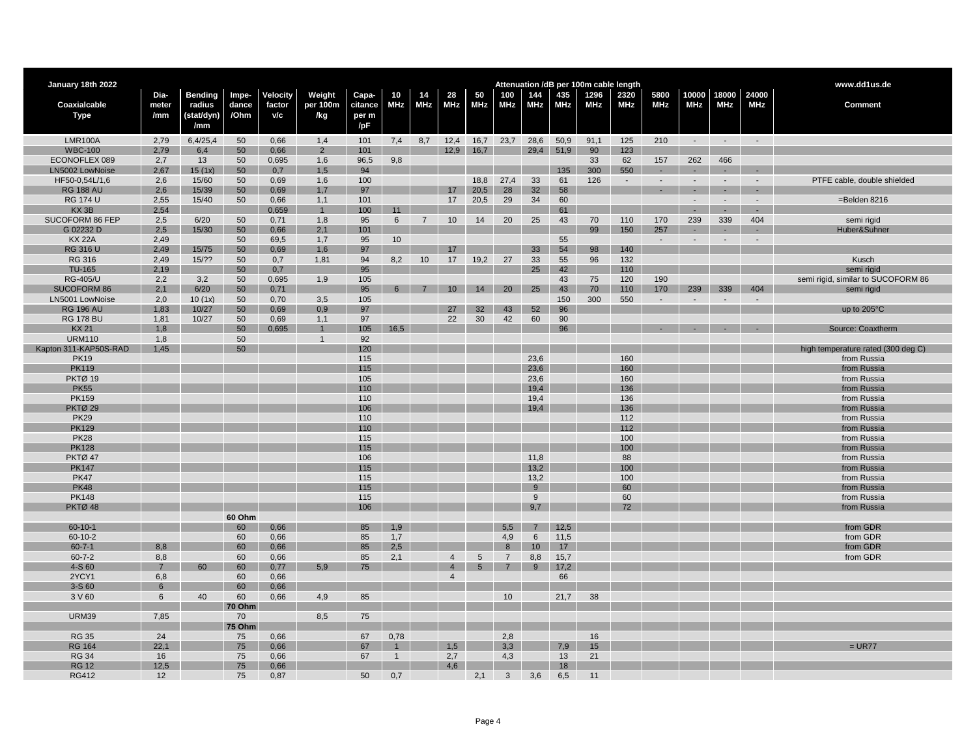| Attenuation /dB per 100m cable length<br><b>Bending</b><br>Velocity<br>Weight<br>Capa-<br>28<br>435<br>1296<br>2320<br>5800<br>10000<br>18000<br>24000<br>Dia-<br>Impe-<br>10<br>50<br>100<br>144<br>14<br>citance<br><b>MHz</b><br><b>MHz</b><br><b>MHz</b><br><b>MHz</b><br><b>MHz</b><br>Coaxialcable<br>radius<br>dance<br>factor<br>per 100m<br><b>MHz</b><br><b>MHz</b><br><b>MHz</b><br>MHz<br><b>MHz</b><br><b>MHz</b><br><b>MHz</b><br><b>MHz</b><br>Comment<br>meter<br>/Ohm<br><b>Type</b><br>(stat/dyn)<br>v/c<br>/mm<br>/kg<br>per m<br>/pF<br>/mm<br><b>LMR100A</b><br>6,4/25,4<br>50<br>125<br>2,79<br>0,66<br>1,4<br>101<br>8,7<br>12,4 16,7 23,7<br>28,6<br>50,9<br>91,1<br>210<br>7,4<br>$\Delta \sim 10^4$<br>$\sim 100$<br><b>Contract</b><br><b>WBC-100</b><br>50<br>0,66<br>16,7<br>90<br>123<br>2,79<br>6,4<br>$\overline{2}$<br>101<br>12,9<br>29,4<br>51,9<br>9,8<br>33<br>62<br>157<br>262<br>466<br>ECONOFLEX 089<br>2,7<br>13<br>50<br>0,695<br>1,6<br>96,5<br>94<br>135<br>300<br>550<br>LN5002 LowNoise<br>2,67<br>15(1x)<br>50<br>0,7<br>1,5<br>$\sim$<br>$\sim$<br>$\sim$<br>$\sim$<br>33<br>HF50-0,54L/1,6<br>2,6<br>15/60<br>50<br>0,69<br>1,6<br>100<br>18,8<br>27,4<br>61<br>126<br>$\sim$<br>PTFE cable, double shielded<br>$\sim$<br>$\sim$<br>$\sim$<br>$\sim$<br>32<br>58<br><b>RG 188 AU</b><br>2,6<br>15/39<br>50<br>0,69<br>1,7<br>97<br>17<br>20,5<br>28<br>$\sim$<br>$\sim$<br>$\sim$<br><b>RG 174 U</b><br>2,55<br>15/40<br>0,66<br>101<br>17<br>20,5<br>29<br>34<br>60<br>$=$ Belden 8216<br>50<br>1,1<br>$\blacksquare$<br>$\sim$<br>61<br>KX3B<br>2,54<br>0,659<br>100<br>11<br>$\sim$<br>$\sim$<br>$\mathbf{1}$<br>$\sim$<br>SUCOFORM 86 FEP<br>2,5<br>6/20<br>50<br>0,71<br>1,8<br>95<br>$\overline{7}$<br>10<br>20<br>25<br>43<br>70<br>110<br>170<br>239<br>339<br>404<br>6<br>14<br>semi rigid<br>2,5<br>101<br>99<br>257<br>G 02232 D<br>15/30<br>50<br>0,66<br>2,1<br>150<br>Huber&Suhner<br>$\sim$<br>$\sim$<br><b>KX 22A</b><br>55<br>2,49<br>50<br>69,5<br>1,7<br>95<br>10<br>$\sim$<br>$\sim$<br>$\sim$<br>$\sim$<br>54<br><b>RG 316 U</b><br>2,49<br>15/75<br>50<br>0,69<br>97<br>17<br>33<br>98<br>140<br>1,6<br>132<br><b>RG 316</b><br>2,49<br>15/??<br>50<br>0,7<br>1,81<br>94<br>8,2<br>10<br>17<br>19,2<br>27<br>33<br>55<br>96<br>Kusch<br>42<br><b>TU-165</b><br>50<br>0,7<br>95<br>110<br>2,19<br>25<br>semi rigio<br><b>RG-405/U</b><br>3,2<br>50<br>105<br>43<br>75<br>2,2<br>0,695<br>1,9<br>120<br>190<br>semi rigid, similar to SUCOFORM 86<br>SUCOFORM 86<br>2,1<br>6/20<br>50<br>95<br>25<br>43<br>110<br>0,71<br>14<br>20<br>70<br>170<br>339<br>semi rigid<br>10<br>239<br>404<br>$6 \overline{6}$<br>2,0<br>10(1x)<br>50<br>0,70<br>3,5<br>105<br>150<br>300<br>550<br>LN5001 LowNoise<br>1,83<br>50<br>0,69<br>0,9<br>97<br>43<br>52<br>96<br><b>RG 196 AU</b><br>10/27<br>27<br>32<br>up to 205°C<br><b>RG 178 BU</b><br>22<br>42<br>90<br>1,81<br>10/27<br>50<br>0,69<br>1,1<br>97<br>30<br>60<br>96<br>50<br>0,695<br>105<br>Source: Coaxtherm<br><b>KX21</b><br>1,8<br>16,5<br>$\mathbf{1}$<br><b>URM110</b><br>1,8<br>50<br>92<br>$\overline{1}$<br>50<br>120<br>Kapton 311-KAP50S-RAD<br>1,45<br>high temperature rated (300 deg C)<br>23,6<br><b>PK19</b><br>115<br>160<br>from Russia<br>115<br>23,6<br>160<br><b>PK119</b><br>from Russia<br>PKTØ 19<br>105<br>23,6<br>160<br>from Russia<br><b>PK55</b><br>110<br>19,4<br>136<br>from Russia<br>PK159<br>110<br>19,4<br>136<br>from Russia<br>106<br>136<br><b>PKTØ 29</b><br>19.4<br>from Russia<br><b>PK29</b><br>112<br>110<br>from Russia<br><b>PK129</b><br>110<br>112<br>from Russia<br><b>PK28</b><br>100<br>115<br>from Russia<br><b>PK128</b><br>115<br>100<br>from Russia<br>88<br>PKTØ 47<br>106<br>11,8<br>from Russia<br>115<br>100<br><b>PK147</b><br>13,2<br>from Russia<br><b>PK47</b><br>115<br>13,2<br>100<br>from Russia<br><b>PK48</b><br>115<br>$9^{\circ}$<br>60<br>from Russia<br>60<br><b>PK148</b><br>115<br>9<br>from Russia<br>72<br>PKTØ 48<br>106<br>9.7<br>from Russia<br>60 Ohm<br>$60 - 10 - 1$<br>0,66<br>85<br>1,9<br>12.5<br>from GDR<br>60<br>5.5<br>$\overline{7}$<br>60<br>85<br>$60-10-2$<br>0,66<br>1,7<br>4,9<br>6<br>from GDR<br>11,5<br>60<br>85<br>2.5<br>from GDR<br>$60 - 7 - 1$<br>8.8<br>0.66<br>17<br>$\mathbf{8}$<br>10<br>$60 - 7 - 2$<br>60<br>0,66<br>85<br>2,1<br>15,7<br>from GDR<br>8,8<br>$\overline{4}$<br>$\overline{7}$<br>8,8<br>$5\phantom{.0}$<br>4-S 60<br>60<br>0,77<br>5,9<br>75<br>17,2<br>$\overline{7}$<br>60<br>$5\overline{5}$<br>$\overline{7}$<br>$\mathbf{Q}$<br>$\overline{4}$<br>2YCY1<br>6,8<br>60<br>0,66<br>66<br>$\overline{4}$<br>0,66<br>3-S 60<br>60<br>6<br>3 V 60<br>40<br>60<br>4,9<br>85<br>10<br>21,7<br>38<br>6<br>0,66<br><b>70 Ohm</b><br><b>URM39</b><br>8,5<br>75<br>7,85<br>70<br>75 Ohm<br><b>RG 35</b><br>24<br>16<br>75<br>0,66<br>67<br>0,78<br>2,8<br><b>RG 164</b><br>22,1<br>0,66<br>3,3<br>15<br>$= UR77$<br>75<br>67<br>1,5<br>7,9<br><b>RG 34</b><br>16<br>75<br>0,66<br>2,7<br>4,3<br>13<br>21<br>67<br>$\mathbf{1}$<br><b>RG 12</b><br>12,5<br>0,66<br>4,6<br>18<br>75<br>75<br><b>RG412</b><br>12<br>0,87<br>50<br>0,7<br>2,1<br>$3^{\circ}$<br>3,6<br>6,5<br>11 | January 18th 2022 |  |  |  |  |  |  |  |  |  | www.dd1us.de |
|------------------------------------------------------------------------------------------------------------------------------------------------------------------------------------------------------------------------------------------------------------------------------------------------------------------------------------------------------------------------------------------------------------------------------------------------------------------------------------------------------------------------------------------------------------------------------------------------------------------------------------------------------------------------------------------------------------------------------------------------------------------------------------------------------------------------------------------------------------------------------------------------------------------------------------------------------------------------------------------------------------------------------------------------------------------------------------------------------------------------------------------------------------------------------------------------------------------------------------------------------------------------------------------------------------------------------------------------------------------------------------------------------------------------------------------------------------------------------------------------------------------------------------------------------------------------------------------------------------------------------------------------------------------------------------------------------------------------------------------------------------------------------------------------------------------------------------------------------------------------------------------------------------------------------------------------------------------------------------------------------------------------------------------------------------------------------------------------------------------------------------------------------------------------------------------------------------------------------------------------------------------------------------------------------------------------------------------------------------------------------------------------------------------------------------------------------------------------------------------------------------------------------------------------------------------------------------------------------------------------------------------------------------------------------------------------------------------------------------------------------------------------------------------------------------------------------------------------------------------------------------------------------------------------------------------------------------------------------------------------------------------------------------------------------------------------------------------------------------------------------------------------------------------------------------------------------------------------------------------------------------------------------------------------------------------------------------------------------------------------------------------------------------------------------------------------------------------------------------------------------------------------------------------------------------------------------------------------------------------------------------------------------------------------------------------------------------------------------------------------------------------------------------------------------------------------------------------------------------------------------------------------------------------------------------------------------------------------------------------------------------------------------------------------------------------------------------------------------------------------------------------------------------------------------------------------------------------------------------------------------------------------------------------------------------------------------------------------------------------------------------------------------------------------------------------------------------------------------------------------------------------------------------------------------------------------------------------------------------------------------------------------------------------------------------------------------------------------------------------------------------------------------------------------------------------------------------------------------------------------------------------------------------------------------------------------------------------------------------------------------------------------------------------------------------------------------------------------------------------------------------------------------------------------------------------------------------------------|-------------------|--|--|--|--|--|--|--|--|--|--------------|
|                                                                                                                                                                                                                                                                                                                                                                                                                                                                                                                                                                                                                                                                                                                                                                                                                                                                                                                                                                                                                                                                                                                                                                                                                                                                                                                                                                                                                                                                                                                                                                                                                                                                                                                                                                                                                                                                                                                                                                                                                                                                                                                                                                                                                                                                                                                                                                                                                                                                                                                                                                                                                                                                                                                                                                                                                                                                                                                                                                                                                                                                                                                                                                                                                                                                                                                                                                                                                                                                                                                                                                                                                                                                                                                                                                                                                                                                                                                                                                                                                                                                                                                                                                                                                                                                                                                                                                                                                                                                                                                                                                                                                                                                                                                                                                                                                                                                                                                                                                                                                                                                                                                                                                                                                        |                   |  |  |  |  |  |  |  |  |  |              |
|                                                                                                                                                                                                                                                                                                                                                                                                                                                                                                                                                                                                                                                                                                                                                                                                                                                                                                                                                                                                                                                                                                                                                                                                                                                                                                                                                                                                                                                                                                                                                                                                                                                                                                                                                                                                                                                                                                                                                                                                                                                                                                                                                                                                                                                                                                                                                                                                                                                                                                                                                                                                                                                                                                                                                                                                                                                                                                                                                                                                                                                                                                                                                                                                                                                                                                                                                                                                                                                                                                                                                                                                                                                                                                                                                                                                                                                                                                                                                                                                                                                                                                                                                                                                                                                                                                                                                                                                                                                                                                                                                                                                                                                                                                                                                                                                                                                                                                                                                                                                                                                                                                                                                                                                                        |                   |  |  |  |  |  |  |  |  |  |              |
|                                                                                                                                                                                                                                                                                                                                                                                                                                                                                                                                                                                                                                                                                                                                                                                                                                                                                                                                                                                                                                                                                                                                                                                                                                                                                                                                                                                                                                                                                                                                                                                                                                                                                                                                                                                                                                                                                                                                                                                                                                                                                                                                                                                                                                                                                                                                                                                                                                                                                                                                                                                                                                                                                                                                                                                                                                                                                                                                                                                                                                                                                                                                                                                                                                                                                                                                                                                                                                                                                                                                                                                                                                                                                                                                                                                                                                                                                                                                                                                                                                                                                                                                                                                                                                                                                                                                                                                                                                                                                                                                                                                                                                                                                                                                                                                                                                                                                                                                                                                                                                                                                                                                                                                                                        |                   |  |  |  |  |  |  |  |  |  |              |
|                                                                                                                                                                                                                                                                                                                                                                                                                                                                                                                                                                                                                                                                                                                                                                                                                                                                                                                                                                                                                                                                                                                                                                                                                                                                                                                                                                                                                                                                                                                                                                                                                                                                                                                                                                                                                                                                                                                                                                                                                                                                                                                                                                                                                                                                                                                                                                                                                                                                                                                                                                                                                                                                                                                                                                                                                                                                                                                                                                                                                                                                                                                                                                                                                                                                                                                                                                                                                                                                                                                                                                                                                                                                                                                                                                                                                                                                                                                                                                                                                                                                                                                                                                                                                                                                                                                                                                                                                                                                                                                                                                                                                                                                                                                                                                                                                                                                                                                                                                                                                                                                                                                                                                                                                        |                   |  |  |  |  |  |  |  |  |  |              |
|                                                                                                                                                                                                                                                                                                                                                                                                                                                                                                                                                                                                                                                                                                                                                                                                                                                                                                                                                                                                                                                                                                                                                                                                                                                                                                                                                                                                                                                                                                                                                                                                                                                                                                                                                                                                                                                                                                                                                                                                                                                                                                                                                                                                                                                                                                                                                                                                                                                                                                                                                                                                                                                                                                                                                                                                                                                                                                                                                                                                                                                                                                                                                                                                                                                                                                                                                                                                                                                                                                                                                                                                                                                                                                                                                                                                                                                                                                                                                                                                                                                                                                                                                                                                                                                                                                                                                                                                                                                                                                                                                                                                                                                                                                                                                                                                                                                                                                                                                                                                                                                                                                                                                                                                                        |                   |  |  |  |  |  |  |  |  |  |              |
|                                                                                                                                                                                                                                                                                                                                                                                                                                                                                                                                                                                                                                                                                                                                                                                                                                                                                                                                                                                                                                                                                                                                                                                                                                                                                                                                                                                                                                                                                                                                                                                                                                                                                                                                                                                                                                                                                                                                                                                                                                                                                                                                                                                                                                                                                                                                                                                                                                                                                                                                                                                                                                                                                                                                                                                                                                                                                                                                                                                                                                                                                                                                                                                                                                                                                                                                                                                                                                                                                                                                                                                                                                                                                                                                                                                                                                                                                                                                                                                                                                                                                                                                                                                                                                                                                                                                                                                                                                                                                                                                                                                                                                                                                                                                                                                                                                                                                                                                                                                                                                                                                                                                                                                                                        |                   |  |  |  |  |  |  |  |  |  |              |
|                                                                                                                                                                                                                                                                                                                                                                                                                                                                                                                                                                                                                                                                                                                                                                                                                                                                                                                                                                                                                                                                                                                                                                                                                                                                                                                                                                                                                                                                                                                                                                                                                                                                                                                                                                                                                                                                                                                                                                                                                                                                                                                                                                                                                                                                                                                                                                                                                                                                                                                                                                                                                                                                                                                                                                                                                                                                                                                                                                                                                                                                                                                                                                                                                                                                                                                                                                                                                                                                                                                                                                                                                                                                                                                                                                                                                                                                                                                                                                                                                                                                                                                                                                                                                                                                                                                                                                                                                                                                                                                                                                                                                                                                                                                                                                                                                                                                                                                                                                                                                                                                                                                                                                                                                        |                   |  |  |  |  |  |  |  |  |  |              |
|                                                                                                                                                                                                                                                                                                                                                                                                                                                                                                                                                                                                                                                                                                                                                                                                                                                                                                                                                                                                                                                                                                                                                                                                                                                                                                                                                                                                                                                                                                                                                                                                                                                                                                                                                                                                                                                                                                                                                                                                                                                                                                                                                                                                                                                                                                                                                                                                                                                                                                                                                                                                                                                                                                                                                                                                                                                                                                                                                                                                                                                                                                                                                                                                                                                                                                                                                                                                                                                                                                                                                                                                                                                                                                                                                                                                                                                                                                                                                                                                                                                                                                                                                                                                                                                                                                                                                                                                                                                                                                                                                                                                                                                                                                                                                                                                                                                                                                                                                                                                                                                                                                                                                                                                                        |                   |  |  |  |  |  |  |  |  |  |              |
|                                                                                                                                                                                                                                                                                                                                                                                                                                                                                                                                                                                                                                                                                                                                                                                                                                                                                                                                                                                                                                                                                                                                                                                                                                                                                                                                                                                                                                                                                                                                                                                                                                                                                                                                                                                                                                                                                                                                                                                                                                                                                                                                                                                                                                                                                                                                                                                                                                                                                                                                                                                                                                                                                                                                                                                                                                                                                                                                                                                                                                                                                                                                                                                                                                                                                                                                                                                                                                                                                                                                                                                                                                                                                                                                                                                                                                                                                                                                                                                                                                                                                                                                                                                                                                                                                                                                                                                                                                                                                                                                                                                                                                                                                                                                                                                                                                                                                                                                                                                                                                                                                                                                                                                                                        |                   |  |  |  |  |  |  |  |  |  |              |
|                                                                                                                                                                                                                                                                                                                                                                                                                                                                                                                                                                                                                                                                                                                                                                                                                                                                                                                                                                                                                                                                                                                                                                                                                                                                                                                                                                                                                                                                                                                                                                                                                                                                                                                                                                                                                                                                                                                                                                                                                                                                                                                                                                                                                                                                                                                                                                                                                                                                                                                                                                                                                                                                                                                                                                                                                                                                                                                                                                                                                                                                                                                                                                                                                                                                                                                                                                                                                                                                                                                                                                                                                                                                                                                                                                                                                                                                                                                                                                                                                                                                                                                                                                                                                                                                                                                                                                                                                                                                                                                                                                                                                                                                                                                                                                                                                                                                                                                                                                                                                                                                                                                                                                                                                        |                   |  |  |  |  |  |  |  |  |  |              |
|                                                                                                                                                                                                                                                                                                                                                                                                                                                                                                                                                                                                                                                                                                                                                                                                                                                                                                                                                                                                                                                                                                                                                                                                                                                                                                                                                                                                                                                                                                                                                                                                                                                                                                                                                                                                                                                                                                                                                                                                                                                                                                                                                                                                                                                                                                                                                                                                                                                                                                                                                                                                                                                                                                                                                                                                                                                                                                                                                                                                                                                                                                                                                                                                                                                                                                                                                                                                                                                                                                                                                                                                                                                                                                                                                                                                                                                                                                                                                                                                                                                                                                                                                                                                                                                                                                                                                                                                                                                                                                                                                                                                                                                                                                                                                                                                                                                                                                                                                                                                                                                                                                                                                                                                                        |                   |  |  |  |  |  |  |  |  |  |              |
|                                                                                                                                                                                                                                                                                                                                                                                                                                                                                                                                                                                                                                                                                                                                                                                                                                                                                                                                                                                                                                                                                                                                                                                                                                                                                                                                                                                                                                                                                                                                                                                                                                                                                                                                                                                                                                                                                                                                                                                                                                                                                                                                                                                                                                                                                                                                                                                                                                                                                                                                                                                                                                                                                                                                                                                                                                                                                                                                                                                                                                                                                                                                                                                                                                                                                                                                                                                                                                                                                                                                                                                                                                                                                                                                                                                                                                                                                                                                                                                                                                                                                                                                                                                                                                                                                                                                                                                                                                                                                                                                                                                                                                                                                                                                                                                                                                                                                                                                                                                                                                                                                                                                                                                                                        |                   |  |  |  |  |  |  |  |  |  |              |
|                                                                                                                                                                                                                                                                                                                                                                                                                                                                                                                                                                                                                                                                                                                                                                                                                                                                                                                                                                                                                                                                                                                                                                                                                                                                                                                                                                                                                                                                                                                                                                                                                                                                                                                                                                                                                                                                                                                                                                                                                                                                                                                                                                                                                                                                                                                                                                                                                                                                                                                                                                                                                                                                                                                                                                                                                                                                                                                                                                                                                                                                                                                                                                                                                                                                                                                                                                                                                                                                                                                                                                                                                                                                                                                                                                                                                                                                                                                                                                                                                                                                                                                                                                                                                                                                                                                                                                                                                                                                                                                                                                                                                                                                                                                                                                                                                                                                                                                                                                                                                                                                                                                                                                                                                        |                   |  |  |  |  |  |  |  |  |  |              |
|                                                                                                                                                                                                                                                                                                                                                                                                                                                                                                                                                                                                                                                                                                                                                                                                                                                                                                                                                                                                                                                                                                                                                                                                                                                                                                                                                                                                                                                                                                                                                                                                                                                                                                                                                                                                                                                                                                                                                                                                                                                                                                                                                                                                                                                                                                                                                                                                                                                                                                                                                                                                                                                                                                                                                                                                                                                                                                                                                                                                                                                                                                                                                                                                                                                                                                                                                                                                                                                                                                                                                                                                                                                                                                                                                                                                                                                                                                                                                                                                                                                                                                                                                                                                                                                                                                                                                                                                                                                                                                                                                                                                                                                                                                                                                                                                                                                                                                                                                                                                                                                                                                                                                                                                                        |                   |  |  |  |  |  |  |  |  |  |              |
|                                                                                                                                                                                                                                                                                                                                                                                                                                                                                                                                                                                                                                                                                                                                                                                                                                                                                                                                                                                                                                                                                                                                                                                                                                                                                                                                                                                                                                                                                                                                                                                                                                                                                                                                                                                                                                                                                                                                                                                                                                                                                                                                                                                                                                                                                                                                                                                                                                                                                                                                                                                                                                                                                                                                                                                                                                                                                                                                                                                                                                                                                                                                                                                                                                                                                                                                                                                                                                                                                                                                                                                                                                                                                                                                                                                                                                                                                                                                                                                                                                                                                                                                                                                                                                                                                                                                                                                                                                                                                                                                                                                                                                                                                                                                                                                                                                                                                                                                                                                                                                                                                                                                                                                                                        |                   |  |  |  |  |  |  |  |  |  |              |
|                                                                                                                                                                                                                                                                                                                                                                                                                                                                                                                                                                                                                                                                                                                                                                                                                                                                                                                                                                                                                                                                                                                                                                                                                                                                                                                                                                                                                                                                                                                                                                                                                                                                                                                                                                                                                                                                                                                                                                                                                                                                                                                                                                                                                                                                                                                                                                                                                                                                                                                                                                                                                                                                                                                                                                                                                                                                                                                                                                                                                                                                                                                                                                                                                                                                                                                                                                                                                                                                                                                                                                                                                                                                                                                                                                                                                                                                                                                                                                                                                                                                                                                                                                                                                                                                                                                                                                                                                                                                                                                                                                                                                                                                                                                                                                                                                                                                                                                                                                                                                                                                                                                                                                                                                        |                   |  |  |  |  |  |  |  |  |  |              |
|                                                                                                                                                                                                                                                                                                                                                                                                                                                                                                                                                                                                                                                                                                                                                                                                                                                                                                                                                                                                                                                                                                                                                                                                                                                                                                                                                                                                                                                                                                                                                                                                                                                                                                                                                                                                                                                                                                                                                                                                                                                                                                                                                                                                                                                                                                                                                                                                                                                                                                                                                                                                                                                                                                                                                                                                                                                                                                                                                                                                                                                                                                                                                                                                                                                                                                                                                                                                                                                                                                                                                                                                                                                                                                                                                                                                                                                                                                                                                                                                                                                                                                                                                                                                                                                                                                                                                                                                                                                                                                                                                                                                                                                                                                                                                                                                                                                                                                                                                                                                                                                                                                                                                                                                                        |                   |  |  |  |  |  |  |  |  |  |              |
|                                                                                                                                                                                                                                                                                                                                                                                                                                                                                                                                                                                                                                                                                                                                                                                                                                                                                                                                                                                                                                                                                                                                                                                                                                                                                                                                                                                                                                                                                                                                                                                                                                                                                                                                                                                                                                                                                                                                                                                                                                                                                                                                                                                                                                                                                                                                                                                                                                                                                                                                                                                                                                                                                                                                                                                                                                                                                                                                                                                                                                                                                                                                                                                                                                                                                                                                                                                                                                                                                                                                                                                                                                                                                                                                                                                                                                                                                                                                                                                                                                                                                                                                                                                                                                                                                                                                                                                                                                                                                                                                                                                                                                                                                                                                                                                                                                                                                                                                                                                                                                                                                                                                                                                                                        |                   |  |  |  |  |  |  |  |  |  |              |
|                                                                                                                                                                                                                                                                                                                                                                                                                                                                                                                                                                                                                                                                                                                                                                                                                                                                                                                                                                                                                                                                                                                                                                                                                                                                                                                                                                                                                                                                                                                                                                                                                                                                                                                                                                                                                                                                                                                                                                                                                                                                                                                                                                                                                                                                                                                                                                                                                                                                                                                                                                                                                                                                                                                                                                                                                                                                                                                                                                                                                                                                                                                                                                                                                                                                                                                                                                                                                                                                                                                                                                                                                                                                                                                                                                                                                                                                                                                                                                                                                                                                                                                                                                                                                                                                                                                                                                                                                                                                                                                                                                                                                                                                                                                                                                                                                                                                                                                                                                                                                                                                                                                                                                                                                        |                   |  |  |  |  |  |  |  |  |  |              |
|                                                                                                                                                                                                                                                                                                                                                                                                                                                                                                                                                                                                                                                                                                                                                                                                                                                                                                                                                                                                                                                                                                                                                                                                                                                                                                                                                                                                                                                                                                                                                                                                                                                                                                                                                                                                                                                                                                                                                                                                                                                                                                                                                                                                                                                                                                                                                                                                                                                                                                                                                                                                                                                                                                                                                                                                                                                                                                                                                                                                                                                                                                                                                                                                                                                                                                                                                                                                                                                                                                                                                                                                                                                                                                                                                                                                                                                                                                                                                                                                                                                                                                                                                                                                                                                                                                                                                                                                                                                                                                                                                                                                                                                                                                                                                                                                                                                                                                                                                                                                                                                                                                                                                                                                                        |                   |  |  |  |  |  |  |  |  |  |              |
|                                                                                                                                                                                                                                                                                                                                                                                                                                                                                                                                                                                                                                                                                                                                                                                                                                                                                                                                                                                                                                                                                                                                                                                                                                                                                                                                                                                                                                                                                                                                                                                                                                                                                                                                                                                                                                                                                                                                                                                                                                                                                                                                                                                                                                                                                                                                                                                                                                                                                                                                                                                                                                                                                                                                                                                                                                                                                                                                                                                                                                                                                                                                                                                                                                                                                                                                                                                                                                                                                                                                                                                                                                                                                                                                                                                                                                                                                                                                                                                                                                                                                                                                                                                                                                                                                                                                                                                                                                                                                                                                                                                                                                                                                                                                                                                                                                                                                                                                                                                                                                                                                                                                                                                                                        |                   |  |  |  |  |  |  |  |  |  |              |
|                                                                                                                                                                                                                                                                                                                                                                                                                                                                                                                                                                                                                                                                                                                                                                                                                                                                                                                                                                                                                                                                                                                                                                                                                                                                                                                                                                                                                                                                                                                                                                                                                                                                                                                                                                                                                                                                                                                                                                                                                                                                                                                                                                                                                                                                                                                                                                                                                                                                                                                                                                                                                                                                                                                                                                                                                                                                                                                                                                                                                                                                                                                                                                                                                                                                                                                                                                                                                                                                                                                                                                                                                                                                                                                                                                                                                                                                                                                                                                                                                                                                                                                                                                                                                                                                                                                                                                                                                                                                                                                                                                                                                                                                                                                                                                                                                                                                                                                                                                                                                                                                                                                                                                                                                        |                   |  |  |  |  |  |  |  |  |  |              |
|                                                                                                                                                                                                                                                                                                                                                                                                                                                                                                                                                                                                                                                                                                                                                                                                                                                                                                                                                                                                                                                                                                                                                                                                                                                                                                                                                                                                                                                                                                                                                                                                                                                                                                                                                                                                                                                                                                                                                                                                                                                                                                                                                                                                                                                                                                                                                                                                                                                                                                                                                                                                                                                                                                                                                                                                                                                                                                                                                                                                                                                                                                                                                                                                                                                                                                                                                                                                                                                                                                                                                                                                                                                                                                                                                                                                                                                                                                                                                                                                                                                                                                                                                                                                                                                                                                                                                                                                                                                                                                                                                                                                                                                                                                                                                                                                                                                                                                                                                                                                                                                                                                                                                                                                                        |                   |  |  |  |  |  |  |  |  |  |              |
|                                                                                                                                                                                                                                                                                                                                                                                                                                                                                                                                                                                                                                                                                                                                                                                                                                                                                                                                                                                                                                                                                                                                                                                                                                                                                                                                                                                                                                                                                                                                                                                                                                                                                                                                                                                                                                                                                                                                                                                                                                                                                                                                                                                                                                                                                                                                                                                                                                                                                                                                                                                                                                                                                                                                                                                                                                                                                                                                                                                                                                                                                                                                                                                                                                                                                                                                                                                                                                                                                                                                                                                                                                                                                                                                                                                                                                                                                                                                                                                                                                                                                                                                                                                                                                                                                                                                                                                                                                                                                                                                                                                                                                                                                                                                                                                                                                                                                                                                                                                                                                                                                                                                                                                                                        |                   |  |  |  |  |  |  |  |  |  |              |
|                                                                                                                                                                                                                                                                                                                                                                                                                                                                                                                                                                                                                                                                                                                                                                                                                                                                                                                                                                                                                                                                                                                                                                                                                                                                                                                                                                                                                                                                                                                                                                                                                                                                                                                                                                                                                                                                                                                                                                                                                                                                                                                                                                                                                                                                                                                                                                                                                                                                                                                                                                                                                                                                                                                                                                                                                                                                                                                                                                                                                                                                                                                                                                                                                                                                                                                                                                                                                                                                                                                                                                                                                                                                                                                                                                                                                                                                                                                                                                                                                                                                                                                                                                                                                                                                                                                                                                                                                                                                                                                                                                                                                                                                                                                                                                                                                                                                                                                                                                                                                                                                                                                                                                                                                        |                   |  |  |  |  |  |  |  |  |  |              |
|                                                                                                                                                                                                                                                                                                                                                                                                                                                                                                                                                                                                                                                                                                                                                                                                                                                                                                                                                                                                                                                                                                                                                                                                                                                                                                                                                                                                                                                                                                                                                                                                                                                                                                                                                                                                                                                                                                                                                                                                                                                                                                                                                                                                                                                                                                                                                                                                                                                                                                                                                                                                                                                                                                                                                                                                                                                                                                                                                                                                                                                                                                                                                                                                                                                                                                                                                                                                                                                                                                                                                                                                                                                                                                                                                                                                                                                                                                                                                                                                                                                                                                                                                                                                                                                                                                                                                                                                                                                                                                                                                                                                                                                                                                                                                                                                                                                                                                                                                                                                                                                                                                                                                                                                                        |                   |  |  |  |  |  |  |  |  |  |              |
|                                                                                                                                                                                                                                                                                                                                                                                                                                                                                                                                                                                                                                                                                                                                                                                                                                                                                                                                                                                                                                                                                                                                                                                                                                                                                                                                                                                                                                                                                                                                                                                                                                                                                                                                                                                                                                                                                                                                                                                                                                                                                                                                                                                                                                                                                                                                                                                                                                                                                                                                                                                                                                                                                                                                                                                                                                                                                                                                                                                                                                                                                                                                                                                                                                                                                                                                                                                                                                                                                                                                                                                                                                                                                                                                                                                                                                                                                                                                                                                                                                                                                                                                                                                                                                                                                                                                                                                                                                                                                                                                                                                                                                                                                                                                                                                                                                                                                                                                                                                                                                                                                                                                                                                                                        |                   |  |  |  |  |  |  |  |  |  |              |
|                                                                                                                                                                                                                                                                                                                                                                                                                                                                                                                                                                                                                                                                                                                                                                                                                                                                                                                                                                                                                                                                                                                                                                                                                                                                                                                                                                                                                                                                                                                                                                                                                                                                                                                                                                                                                                                                                                                                                                                                                                                                                                                                                                                                                                                                                                                                                                                                                                                                                                                                                                                                                                                                                                                                                                                                                                                                                                                                                                                                                                                                                                                                                                                                                                                                                                                                                                                                                                                                                                                                                                                                                                                                                                                                                                                                                                                                                                                                                                                                                                                                                                                                                                                                                                                                                                                                                                                                                                                                                                                                                                                                                                                                                                                                                                                                                                                                                                                                                                                                                                                                                                                                                                                                                        |                   |  |  |  |  |  |  |  |  |  |              |
|                                                                                                                                                                                                                                                                                                                                                                                                                                                                                                                                                                                                                                                                                                                                                                                                                                                                                                                                                                                                                                                                                                                                                                                                                                                                                                                                                                                                                                                                                                                                                                                                                                                                                                                                                                                                                                                                                                                                                                                                                                                                                                                                                                                                                                                                                                                                                                                                                                                                                                                                                                                                                                                                                                                                                                                                                                                                                                                                                                                                                                                                                                                                                                                                                                                                                                                                                                                                                                                                                                                                                                                                                                                                                                                                                                                                                                                                                                                                                                                                                                                                                                                                                                                                                                                                                                                                                                                                                                                                                                                                                                                                                                                                                                                                                                                                                                                                                                                                                                                                                                                                                                                                                                                                                        |                   |  |  |  |  |  |  |  |  |  |              |
|                                                                                                                                                                                                                                                                                                                                                                                                                                                                                                                                                                                                                                                                                                                                                                                                                                                                                                                                                                                                                                                                                                                                                                                                                                                                                                                                                                                                                                                                                                                                                                                                                                                                                                                                                                                                                                                                                                                                                                                                                                                                                                                                                                                                                                                                                                                                                                                                                                                                                                                                                                                                                                                                                                                                                                                                                                                                                                                                                                                                                                                                                                                                                                                                                                                                                                                                                                                                                                                                                                                                                                                                                                                                                                                                                                                                                                                                                                                                                                                                                                                                                                                                                                                                                                                                                                                                                                                                                                                                                                                                                                                                                                                                                                                                                                                                                                                                                                                                                                                                                                                                                                                                                                                                                        |                   |  |  |  |  |  |  |  |  |  |              |
|                                                                                                                                                                                                                                                                                                                                                                                                                                                                                                                                                                                                                                                                                                                                                                                                                                                                                                                                                                                                                                                                                                                                                                                                                                                                                                                                                                                                                                                                                                                                                                                                                                                                                                                                                                                                                                                                                                                                                                                                                                                                                                                                                                                                                                                                                                                                                                                                                                                                                                                                                                                                                                                                                                                                                                                                                                                                                                                                                                                                                                                                                                                                                                                                                                                                                                                                                                                                                                                                                                                                                                                                                                                                                                                                                                                                                                                                                                                                                                                                                                                                                                                                                                                                                                                                                                                                                                                                                                                                                                                                                                                                                                                                                                                                                                                                                                                                                                                                                                                                                                                                                                                                                                                                                        |                   |  |  |  |  |  |  |  |  |  |              |
|                                                                                                                                                                                                                                                                                                                                                                                                                                                                                                                                                                                                                                                                                                                                                                                                                                                                                                                                                                                                                                                                                                                                                                                                                                                                                                                                                                                                                                                                                                                                                                                                                                                                                                                                                                                                                                                                                                                                                                                                                                                                                                                                                                                                                                                                                                                                                                                                                                                                                                                                                                                                                                                                                                                                                                                                                                                                                                                                                                                                                                                                                                                                                                                                                                                                                                                                                                                                                                                                                                                                                                                                                                                                                                                                                                                                                                                                                                                                                                                                                                                                                                                                                                                                                                                                                                                                                                                                                                                                                                                                                                                                                                                                                                                                                                                                                                                                                                                                                                                                                                                                                                                                                                                                                        |                   |  |  |  |  |  |  |  |  |  |              |
|                                                                                                                                                                                                                                                                                                                                                                                                                                                                                                                                                                                                                                                                                                                                                                                                                                                                                                                                                                                                                                                                                                                                                                                                                                                                                                                                                                                                                                                                                                                                                                                                                                                                                                                                                                                                                                                                                                                                                                                                                                                                                                                                                                                                                                                                                                                                                                                                                                                                                                                                                                                                                                                                                                                                                                                                                                                                                                                                                                                                                                                                                                                                                                                                                                                                                                                                                                                                                                                                                                                                                                                                                                                                                                                                                                                                                                                                                                                                                                                                                                                                                                                                                                                                                                                                                                                                                                                                                                                                                                                                                                                                                                                                                                                                                                                                                                                                                                                                                                                                                                                                                                                                                                                                                        |                   |  |  |  |  |  |  |  |  |  |              |
|                                                                                                                                                                                                                                                                                                                                                                                                                                                                                                                                                                                                                                                                                                                                                                                                                                                                                                                                                                                                                                                                                                                                                                                                                                                                                                                                                                                                                                                                                                                                                                                                                                                                                                                                                                                                                                                                                                                                                                                                                                                                                                                                                                                                                                                                                                                                                                                                                                                                                                                                                                                                                                                                                                                                                                                                                                                                                                                                                                                                                                                                                                                                                                                                                                                                                                                                                                                                                                                                                                                                                                                                                                                                                                                                                                                                                                                                                                                                                                                                                                                                                                                                                                                                                                                                                                                                                                                                                                                                                                                                                                                                                                                                                                                                                                                                                                                                                                                                                                                                                                                                                                                                                                                                                        |                   |  |  |  |  |  |  |  |  |  |              |
|                                                                                                                                                                                                                                                                                                                                                                                                                                                                                                                                                                                                                                                                                                                                                                                                                                                                                                                                                                                                                                                                                                                                                                                                                                                                                                                                                                                                                                                                                                                                                                                                                                                                                                                                                                                                                                                                                                                                                                                                                                                                                                                                                                                                                                                                                                                                                                                                                                                                                                                                                                                                                                                                                                                                                                                                                                                                                                                                                                                                                                                                                                                                                                                                                                                                                                                                                                                                                                                                                                                                                                                                                                                                                                                                                                                                                                                                                                                                                                                                                                                                                                                                                                                                                                                                                                                                                                                                                                                                                                                                                                                                                                                                                                                                                                                                                                                                                                                                                                                                                                                                                                                                                                                                                        |                   |  |  |  |  |  |  |  |  |  |              |
|                                                                                                                                                                                                                                                                                                                                                                                                                                                                                                                                                                                                                                                                                                                                                                                                                                                                                                                                                                                                                                                                                                                                                                                                                                                                                                                                                                                                                                                                                                                                                                                                                                                                                                                                                                                                                                                                                                                                                                                                                                                                                                                                                                                                                                                                                                                                                                                                                                                                                                                                                                                                                                                                                                                                                                                                                                                                                                                                                                                                                                                                                                                                                                                                                                                                                                                                                                                                                                                                                                                                                                                                                                                                                                                                                                                                                                                                                                                                                                                                                                                                                                                                                                                                                                                                                                                                                                                                                                                                                                                                                                                                                                                                                                                                                                                                                                                                                                                                                                                                                                                                                                                                                                                                                        |                   |  |  |  |  |  |  |  |  |  |              |
|                                                                                                                                                                                                                                                                                                                                                                                                                                                                                                                                                                                                                                                                                                                                                                                                                                                                                                                                                                                                                                                                                                                                                                                                                                                                                                                                                                                                                                                                                                                                                                                                                                                                                                                                                                                                                                                                                                                                                                                                                                                                                                                                                                                                                                                                                                                                                                                                                                                                                                                                                                                                                                                                                                                                                                                                                                                                                                                                                                                                                                                                                                                                                                                                                                                                                                                                                                                                                                                                                                                                                                                                                                                                                                                                                                                                                                                                                                                                                                                                                                                                                                                                                                                                                                                                                                                                                                                                                                                                                                                                                                                                                                                                                                                                                                                                                                                                                                                                                                                                                                                                                                                                                                                                                        |                   |  |  |  |  |  |  |  |  |  |              |
|                                                                                                                                                                                                                                                                                                                                                                                                                                                                                                                                                                                                                                                                                                                                                                                                                                                                                                                                                                                                                                                                                                                                                                                                                                                                                                                                                                                                                                                                                                                                                                                                                                                                                                                                                                                                                                                                                                                                                                                                                                                                                                                                                                                                                                                                                                                                                                                                                                                                                                                                                                                                                                                                                                                                                                                                                                                                                                                                                                                                                                                                                                                                                                                                                                                                                                                                                                                                                                                                                                                                                                                                                                                                                                                                                                                                                                                                                                                                                                                                                                                                                                                                                                                                                                                                                                                                                                                                                                                                                                                                                                                                                                                                                                                                                                                                                                                                                                                                                                                                                                                                                                                                                                                                                        |                   |  |  |  |  |  |  |  |  |  |              |
|                                                                                                                                                                                                                                                                                                                                                                                                                                                                                                                                                                                                                                                                                                                                                                                                                                                                                                                                                                                                                                                                                                                                                                                                                                                                                                                                                                                                                                                                                                                                                                                                                                                                                                                                                                                                                                                                                                                                                                                                                                                                                                                                                                                                                                                                                                                                                                                                                                                                                                                                                                                                                                                                                                                                                                                                                                                                                                                                                                                                                                                                                                                                                                                                                                                                                                                                                                                                                                                                                                                                                                                                                                                                                                                                                                                                                                                                                                                                                                                                                                                                                                                                                                                                                                                                                                                                                                                                                                                                                                                                                                                                                                                                                                                                                                                                                                                                                                                                                                                                                                                                                                                                                                                                                        |                   |  |  |  |  |  |  |  |  |  |              |
|                                                                                                                                                                                                                                                                                                                                                                                                                                                                                                                                                                                                                                                                                                                                                                                                                                                                                                                                                                                                                                                                                                                                                                                                                                                                                                                                                                                                                                                                                                                                                                                                                                                                                                                                                                                                                                                                                                                                                                                                                                                                                                                                                                                                                                                                                                                                                                                                                                                                                                                                                                                                                                                                                                                                                                                                                                                                                                                                                                                                                                                                                                                                                                                                                                                                                                                                                                                                                                                                                                                                                                                                                                                                                                                                                                                                                                                                                                                                                                                                                                                                                                                                                                                                                                                                                                                                                                                                                                                                                                                                                                                                                                                                                                                                                                                                                                                                                                                                                                                                                                                                                                                                                                                                                        |                   |  |  |  |  |  |  |  |  |  |              |
|                                                                                                                                                                                                                                                                                                                                                                                                                                                                                                                                                                                                                                                                                                                                                                                                                                                                                                                                                                                                                                                                                                                                                                                                                                                                                                                                                                                                                                                                                                                                                                                                                                                                                                                                                                                                                                                                                                                                                                                                                                                                                                                                                                                                                                                                                                                                                                                                                                                                                                                                                                                                                                                                                                                                                                                                                                                                                                                                                                                                                                                                                                                                                                                                                                                                                                                                                                                                                                                                                                                                                                                                                                                                                                                                                                                                                                                                                                                                                                                                                                                                                                                                                                                                                                                                                                                                                                                                                                                                                                                                                                                                                                                                                                                                                                                                                                                                                                                                                                                                                                                                                                                                                                                                                        |                   |  |  |  |  |  |  |  |  |  |              |
|                                                                                                                                                                                                                                                                                                                                                                                                                                                                                                                                                                                                                                                                                                                                                                                                                                                                                                                                                                                                                                                                                                                                                                                                                                                                                                                                                                                                                                                                                                                                                                                                                                                                                                                                                                                                                                                                                                                                                                                                                                                                                                                                                                                                                                                                                                                                                                                                                                                                                                                                                                                                                                                                                                                                                                                                                                                                                                                                                                                                                                                                                                                                                                                                                                                                                                                                                                                                                                                                                                                                                                                                                                                                                                                                                                                                                                                                                                                                                                                                                                                                                                                                                                                                                                                                                                                                                                                                                                                                                                                                                                                                                                                                                                                                                                                                                                                                                                                                                                                                                                                                                                                                                                                                                        |                   |  |  |  |  |  |  |  |  |  |              |
|                                                                                                                                                                                                                                                                                                                                                                                                                                                                                                                                                                                                                                                                                                                                                                                                                                                                                                                                                                                                                                                                                                                                                                                                                                                                                                                                                                                                                                                                                                                                                                                                                                                                                                                                                                                                                                                                                                                                                                                                                                                                                                                                                                                                                                                                                                                                                                                                                                                                                                                                                                                                                                                                                                                                                                                                                                                                                                                                                                                                                                                                                                                                                                                                                                                                                                                                                                                                                                                                                                                                                                                                                                                                                                                                                                                                                                                                                                                                                                                                                                                                                                                                                                                                                                                                                                                                                                                                                                                                                                                                                                                                                                                                                                                                                                                                                                                                                                                                                                                                                                                                                                                                                                                                                        |                   |  |  |  |  |  |  |  |  |  |              |
|                                                                                                                                                                                                                                                                                                                                                                                                                                                                                                                                                                                                                                                                                                                                                                                                                                                                                                                                                                                                                                                                                                                                                                                                                                                                                                                                                                                                                                                                                                                                                                                                                                                                                                                                                                                                                                                                                                                                                                                                                                                                                                                                                                                                                                                                                                                                                                                                                                                                                                                                                                                                                                                                                                                                                                                                                                                                                                                                                                                                                                                                                                                                                                                                                                                                                                                                                                                                                                                                                                                                                                                                                                                                                                                                                                                                                                                                                                                                                                                                                                                                                                                                                                                                                                                                                                                                                                                                                                                                                                                                                                                                                                                                                                                                                                                                                                                                                                                                                                                                                                                                                                                                                                                                                        |                   |  |  |  |  |  |  |  |  |  |              |
|                                                                                                                                                                                                                                                                                                                                                                                                                                                                                                                                                                                                                                                                                                                                                                                                                                                                                                                                                                                                                                                                                                                                                                                                                                                                                                                                                                                                                                                                                                                                                                                                                                                                                                                                                                                                                                                                                                                                                                                                                                                                                                                                                                                                                                                                                                                                                                                                                                                                                                                                                                                                                                                                                                                                                                                                                                                                                                                                                                                                                                                                                                                                                                                                                                                                                                                                                                                                                                                                                                                                                                                                                                                                                                                                                                                                                                                                                                                                                                                                                                                                                                                                                                                                                                                                                                                                                                                                                                                                                                                                                                                                                                                                                                                                                                                                                                                                                                                                                                                                                                                                                                                                                                                                                        |                   |  |  |  |  |  |  |  |  |  |              |
|                                                                                                                                                                                                                                                                                                                                                                                                                                                                                                                                                                                                                                                                                                                                                                                                                                                                                                                                                                                                                                                                                                                                                                                                                                                                                                                                                                                                                                                                                                                                                                                                                                                                                                                                                                                                                                                                                                                                                                                                                                                                                                                                                                                                                                                                                                                                                                                                                                                                                                                                                                                                                                                                                                                                                                                                                                                                                                                                                                                                                                                                                                                                                                                                                                                                                                                                                                                                                                                                                                                                                                                                                                                                                                                                                                                                                                                                                                                                                                                                                                                                                                                                                                                                                                                                                                                                                                                                                                                                                                                                                                                                                                                                                                                                                                                                                                                                                                                                                                                                                                                                                                                                                                                                                        |                   |  |  |  |  |  |  |  |  |  |              |
|                                                                                                                                                                                                                                                                                                                                                                                                                                                                                                                                                                                                                                                                                                                                                                                                                                                                                                                                                                                                                                                                                                                                                                                                                                                                                                                                                                                                                                                                                                                                                                                                                                                                                                                                                                                                                                                                                                                                                                                                                                                                                                                                                                                                                                                                                                                                                                                                                                                                                                                                                                                                                                                                                                                                                                                                                                                                                                                                                                                                                                                                                                                                                                                                                                                                                                                                                                                                                                                                                                                                                                                                                                                                                                                                                                                                                                                                                                                                                                                                                                                                                                                                                                                                                                                                                                                                                                                                                                                                                                                                                                                                                                                                                                                                                                                                                                                                                                                                                                                                                                                                                                                                                                                                                        |                   |  |  |  |  |  |  |  |  |  |              |
|                                                                                                                                                                                                                                                                                                                                                                                                                                                                                                                                                                                                                                                                                                                                                                                                                                                                                                                                                                                                                                                                                                                                                                                                                                                                                                                                                                                                                                                                                                                                                                                                                                                                                                                                                                                                                                                                                                                                                                                                                                                                                                                                                                                                                                                                                                                                                                                                                                                                                                                                                                                                                                                                                                                                                                                                                                                                                                                                                                                                                                                                                                                                                                                                                                                                                                                                                                                                                                                                                                                                                                                                                                                                                                                                                                                                                                                                                                                                                                                                                                                                                                                                                                                                                                                                                                                                                                                                                                                                                                                                                                                                                                                                                                                                                                                                                                                                                                                                                                                                                                                                                                                                                                                                                        |                   |  |  |  |  |  |  |  |  |  |              |
|                                                                                                                                                                                                                                                                                                                                                                                                                                                                                                                                                                                                                                                                                                                                                                                                                                                                                                                                                                                                                                                                                                                                                                                                                                                                                                                                                                                                                                                                                                                                                                                                                                                                                                                                                                                                                                                                                                                                                                                                                                                                                                                                                                                                                                                                                                                                                                                                                                                                                                                                                                                                                                                                                                                                                                                                                                                                                                                                                                                                                                                                                                                                                                                                                                                                                                                                                                                                                                                                                                                                                                                                                                                                                                                                                                                                                                                                                                                                                                                                                                                                                                                                                                                                                                                                                                                                                                                                                                                                                                                                                                                                                                                                                                                                                                                                                                                                                                                                                                                                                                                                                                                                                                                                                        |                   |  |  |  |  |  |  |  |  |  |              |
|                                                                                                                                                                                                                                                                                                                                                                                                                                                                                                                                                                                                                                                                                                                                                                                                                                                                                                                                                                                                                                                                                                                                                                                                                                                                                                                                                                                                                                                                                                                                                                                                                                                                                                                                                                                                                                                                                                                                                                                                                                                                                                                                                                                                                                                                                                                                                                                                                                                                                                                                                                                                                                                                                                                                                                                                                                                                                                                                                                                                                                                                                                                                                                                                                                                                                                                                                                                                                                                                                                                                                                                                                                                                                                                                                                                                                                                                                                                                                                                                                                                                                                                                                                                                                                                                                                                                                                                                                                                                                                                                                                                                                                                                                                                                                                                                                                                                                                                                                                                                                                                                                                                                                                                                                        |                   |  |  |  |  |  |  |  |  |  |              |
|                                                                                                                                                                                                                                                                                                                                                                                                                                                                                                                                                                                                                                                                                                                                                                                                                                                                                                                                                                                                                                                                                                                                                                                                                                                                                                                                                                                                                                                                                                                                                                                                                                                                                                                                                                                                                                                                                                                                                                                                                                                                                                                                                                                                                                                                                                                                                                                                                                                                                                                                                                                                                                                                                                                                                                                                                                                                                                                                                                                                                                                                                                                                                                                                                                                                                                                                                                                                                                                                                                                                                                                                                                                                                                                                                                                                                                                                                                                                                                                                                                                                                                                                                                                                                                                                                                                                                                                                                                                                                                                                                                                                                                                                                                                                                                                                                                                                                                                                                                                                                                                                                                                                                                                                                        |                   |  |  |  |  |  |  |  |  |  |              |
|                                                                                                                                                                                                                                                                                                                                                                                                                                                                                                                                                                                                                                                                                                                                                                                                                                                                                                                                                                                                                                                                                                                                                                                                                                                                                                                                                                                                                                                                                                                                                                                                                                                                                                                                                                                                                                                                                                                                                                                                                                                                                                                                                                                                                                                                                                                                                                                                                                                                                                                                                                                                                                                                                                                                                                                                                                                                                                                                                                                                                                                                                                                                                                                                                                                                                                                                                                                                                                                                                                                                                                                                                                                                                                                                                                                                                                                                                                                                                                                                                                                                                                                                                                                                                                                                                                                                                                                                                                                                                                                                                                                                                                                                                                                                                                                                                                                                                                                                                                                                                                                                                                                                                                                                                        |                   |  |  |  |  |  |  |  |  |  |              |
|                                                                                                                                                                                                                                                                                                                                                                                                                                                                                                                                                                                                                                                                                                                                                                                                                                                                                                                                                                                                                                                                                                                                                                                                                                                                                                                                                                                                                                                                                                                                                                                                                                                                                                                                                                                                                                                                                                                                                                                                                                                                                                                                                                                                                                                                                                                                                                                                                                                                                                                                                                                                                                                                                                                                                                                                                                                                                                                                                                                                                                                                                                                                                                                                                                                                                                                                                                                                                                                                                                                                                                                                                                                                                                                                                                                                                                                                                                                                                                                                                                                                                                                                                                                                                                                                                                                                                                                                                                                                                                                                                                                                                                                                                                                                                                                                                                                                                                                                                                                                                                                                                                                                                                                                                        |                   |  |  |  |  |  |  |  |  |  |              |
|                                                                                                                                                                                                                                                                                                                                                                                                                                                                                                                                                                                                                                                                                                                                                                                                                                                                                                                                                                                                                                                                                                                                                                                                                                                                                                                                                                                                                                                                                                                                                                                                                                                                                                                                                                                                                                                                                                                                                                                                                                                                                                                                                                                                                                                                                                                                                                                                                                                                                                                                                                                                                                                                                                                                                                                                                                                                                                                                                                                                                                                                                                                                                                                                                                                                                                                                                                                                                                                                                                                                                                                                                                                                                                                                                                                                                                                                                                                                                                                                                                                                                                                                                                                                                                                                                                                                                                                                                                                                                                                                                                                                                                                                                                                                                                                                                                                                                                                                                                                                                                                                                                                                                                                                                        |                   |  |  |  |  |  |  |  |  |  |              |
|                                                                                                                                                                                                                                                                                                                                                                                                                                                                                                                                                                                                                                                                                                                                                                                                                                                                                                                                                                                                                                                                                                                                                                                                                                                                                                                                                                                                                                                                                                                                                                                                                                                                                                                                                                                                                                                                                                                                                                                                                                                                                                                                                                                                                                                                                                                                                                                                                                                                                                                                                                                                                                                                                                                                                                                                                                                                                                                                                                                                                                                                                                                                                                                                                                                                                                                                                                                                                                                                                                                                                                                                                                                                                                                                                                                                                                                                                                                                                                                                                                                                                                                                                                                                                                                                                                                                                                                                                                                                                                                                                                                                                                                                                                                                                                                                                                                                                                                                                                                                                                                                                                                                                                                                                        |                   |  |  |  |  |  |  |  |  |  |              |
|                                                                                                                                                                                                                                                                                                                                                                                                                                                                                                                                                                                                                                                                                                                                                                                                                                                                                                                                                                                                                                                                                                                                                                                                                                                                                                                                                                                                                                                                                                                                                                                                                                                                                                                                                                                                                                                                                                                                                                                                                                                                                                                                                                                                                                                                                                                                                                                                                                                                                                                                                                                                                                                                                                                                                                                                                                                                                                                                                                                                                                                                                                                                                                                                                                                                                                                                                                                                                                                                                                                                                                                                                                                                                                                                                                                                                                                                                                                                                                                                                                                                                                                                                                                                                                                                                                                                                                                                                                                                                                                                                                                                                                                                                                                                                                                                                                                                                                                                                                                                                                                                                                                                                                                                                        |                   |  |  |  |  |  |  |  |  |  |              |